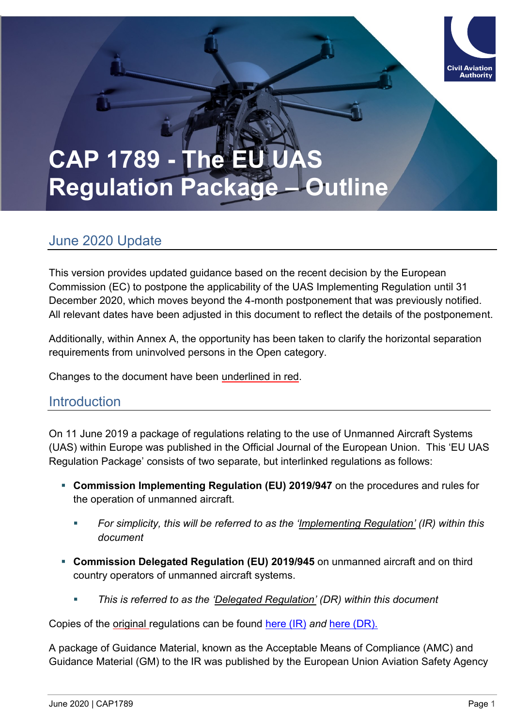# **CAP 1789 - The E Regulation Package – Outline**

# June 2020 Update

This version provides updated guidance based on the recent decision by the European Commission (EC) to postpone the applicability of the UAS Implementing Regulation until 31 December 2020, which moves beyond the 4-month postponement that was previously notified. All relevant dates have been adjusted in this document to reflect the details of the postponement.

Additionally, within Annex A, the opportunity has been taken to clarify the horizontal separation requirements from uninvolved persons in the Open category.

Changes to the document have been underlined in red.

# **Introduction**

On 11 June 2019 a package of regulations relating to the use of Unmanned Aircraft Systems (UAS) within Europe was published in the Official Journal of the European Union. This 'EU UAS Regulation Package' consists of two separate, but interlinked regulations as follows:

- **EX Commission Implementing Regulation (EU) 2019/947** on the procedures and rules for the operation of unmanned aircraft.
	- *For simplicity, this will be referred to as the 'Implementing Regulation' (IR) within this document*
- **Commission Delegated Regulation (EU) 2019/945** on unmanned aircraft and on third country operators of unmanned aircraft systems.
	- *This is referred to as the 'Delegated Regulation' (DR) within this document*

Copies of the original regulations can be found [here \(IR\)](https://eur-lex.europa.eu/legal-content/EN/TXT/PDF/?uri=CELEX:32019R0947&from=EN) *and* [here \(DR\).](https://eur-lex.europa.eu/legal-content/EN/TXT/PDF/?uri=CELEX:32019R0945&qid=1560241758085&from=EN)

A package of Guidance Material, known as the Acceptable Means of Compliance (AMC) and Guidance Material (GM) to the IR was published by the European Union Aviation Safety Agency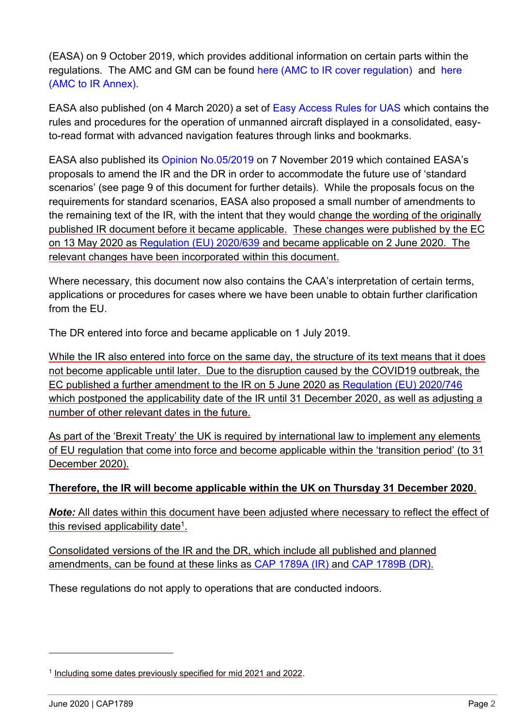(EASA) on 9 October 2019, which provides additional information on certain parts within the regulations. The AMC and GM can be found [here \(AMC to IR cover regulation\)](https://www.easa.europa.eu/sites/default/files/dfu/AMC%20%26%20GM%20to%20Commission%20Implementing%20Regulation%20%28EU%29%202019-947%20%E2%80%94%20Issue%201.pdf) and [here](https://www.easa.europa.eu/sites/default/files/dfu/AMC%20%26%20GM%20to%20Part-UAS%20%E2%80%94%20Issue%201.pdf)  [\(AMC to IR Annex\).](https://www.easa.europa.eu/sites/default/files/dfu/AMC%20%26%20GM%20to%20Part-UAS%20%E2%80%94%20Issue%201.pdf)

EASA also published (on 4 March 2020) a set of [Easy Access Rules for UAS](https://www.easa.europa.eu/document-library/general-publications/easy-access-rules-unmanned-aircraft-systems-regulation-eu) which contains the rules and procedures for the operation of unmanned aircraft displayed in a consolidated, easyto-read format with advanced navigation features through links and bookmarks.

EASA also published its [Opinion No.05/2019](https://www.easa.europa.eu/document-library/opinions/opinion-052019) on 7 November 2019 which contained EASA's proposals to amend the IR and the DR in order to accommodate the future use of 'standard scenarios' (see page 9 of this document for further details). While the proposals focus on the requirements for standard scenarios, EASA also proposed a small number of amendments to the remaining text of the IR, with the intent that they would change the wording of the originally published IR document before it became applicable. These changes were published by the EC on 13 May 2020 as [Regulation \(EU\) 2020/639](https://eur-lex.europa.eu/legal-content/EN/TXT/PDF/?uri=CELEX:32020R0639&from=EN) and became applicable on 2 June 2020. The relevant changes have been incorporated within this document.

Where necessary, this document now also contains the CAA's interpretation of certain terms, applications or procedures for cases where we have been unable to obtain further clarification from the FU.

The DR entered into force and became applicable on 1 July 2019.

While the IR also entered into force on the same day, the structure of its text means that it does not become applicable until later. Due to the disruption caused by the COVID19 outbreak, the EC published a further amendment to the IR on 5 June 2020 as [Regulation \(EU\) 2020/746](https://eur-lex.europa.eu/legal-content/EN/TXT/?uri=uriserv:OJ.L_.2020.176.01.0013.01.ENG&toc=OJ:L:2020:176:TOC) which postponed the applicability date of the IR until 31 December 2020, as well as adjusting a number of other relevant dates in the future.

As part of the 'Brexit Treaty' the UK is required by international law to implement any elements of EU regulation that come into force and become applicable within the 'transition period' (to 31 December 2020).

## **Therefore, the IR will become applicable within the UK on Thursday 31 December 2020**.

*Note:* All dates within this document have been adjusted where necessary to reflect the effect of this revised applicability date<sup>1</sup>.

Consolidated versions of the IR and the DR, which include all published and planned amendments, can be found at these links as [CAP 1789A \(IR\)](http://www.caa.co.uk/CAP1789A) and [CAP 1789B \(DR\).](http://www.caa.co.uk/CAP1789B)

These regulations do not apply to operations that are conducted indoors.

 $\overline{a}$ 

<sup>&</sup>lt;sup>1</sup> Including some dates previously specified for mid 2021 and 2022.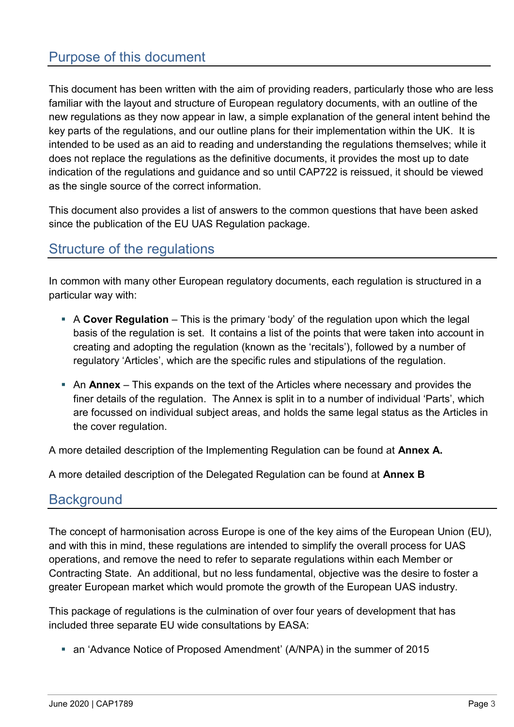# Purpose of this document

This document has been written with the aim of providing readers, particularly those who are less familiar with the layout and structure of European regulatory documents, with an outline of the new regulations as they now appear in law, a simple explanation of the general intent behind the key parts of the regulations, and our outline plans for their implementation within the UK. It is intended to be used as an aid to reading and understanding the regulations themselves; while it does not replace the regulations as the definitive documents, it provides the most up to date indication of the regulations and guidance and so until CAP722 is reissued, it should be viewed as the single source of the correct information.

This document also provides a list of answers to the common questions that have been asked since the publication of the EU UAS Regulation package.

# Structure of the regulations

In common with many other European regulatory documents, each regulation is structured in a particular way with:

- **EX A Cover Regulation** This is the primary 'body' of the regulation upon which the legal basis of the regulation is set. It contains a list of the points that were taken into account in creating and adopting the regulation (known as the 'recitals'), followed by a number of regulatory 'Articles', which are the specific rules and stipulations of the regulation.
- **An Annex** This expands on the text of the Articles where necessary and provides the finer details of the regulation. The Annex is split in to a number of individual 'Parts', which are focussed on individual subject areas, and holds the same legal status as the Articles in the cover regulation.

A more detailed description of the Implementing Regulation can be found at **Annex A.**

A more detailed description of the Delegated Regulation can be found at **Annex B**

# **Background**

The concept of harmonisation across Europe is one of the key aims of the European Union (EU), and with this in mind, these regulations are intended to simplify the overall process for UAS operations, and remove the need to refer to separate regulations within each Member or Contracting State. An additional, but no less fundamental, objective was the desire to foster a greater European market which would promote the growth of the European UAS industry.

This package of regulations is the culmination of over four years of development that has included three separate EU wide consultations by EASA:

■ an 'Advance Notice of Proposed Amendment' (A/NPA) in the summer of 2015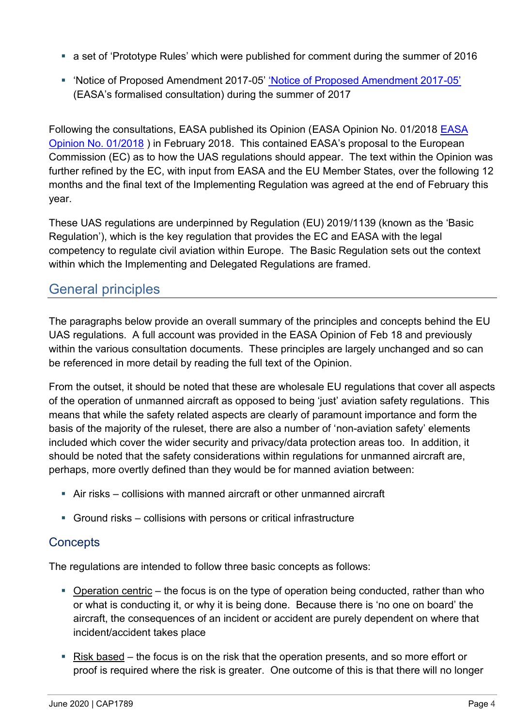- a set of 'Prototype Rules' which were published for comment during the summer of 2016
- 'Notice of Proposed Amendment 2017-05' ['Notice of Proposed Amendment 2017](https://www.easa.europa.eu/document-library/notices-of-proposed-amendment/npa-2017-05)-05' (EASA's formalised consultation) during the summer of 2017

Following the consultations, EASA published its Opinion (EASA Opinion No. 01/2018 [EASA](https://www.easa.europa.eu/document-library/opinions/opinion-012018)  [Opinion No. 01/2018](https://www.easa.europa.eu/document-library/opinions/opinion-012018) ) in February 2018. This contained EASA's proposal to the European Commission (EC) as to how the UAS regulations should appear. The text within the Opinion was further refined by the EC, with input from EASA and the EU Member States, over the following 12 months and the final text of the Implementing Regulation was agreed at the end of February this year.

These UAS regulations are underpinned by Regulation (EU) 2019/1139 (known as the 'Basic Regulation'), which is the key regulation that provides the EC and EASA with the legal competency to regulate civil aviation within Europe. The Basic Regulation sets out the context within which the Implementing and Delegated Regulations are framed.

# General principles

The paragraphs below provide an overall summary of the principles and concepts behind the EU UAS regulations. A full account was provided in the EASA Opinion of Feb 18 and previously within the various consultation documents. These principles are largely unchanged and so can be referenced in more detail by reading the full text of the Opinion.

From the outset, it should be noted that these are wholesale EU regulations that cover all aspects of the operation of unmanned aircraft as opposed to being 'just' aviation safety regulations. This means that while the safety related aspects are clearly of paramount importance and form the basis of the majority of the ruleset, there are also a number of 'non-aviation safety' elements included which cover the wider security and privacy/data protection areas too. In addition, it should be noted that the safety considerations within regulations for unmanned aircraft are, perhaps, more overtly defined than they would be for manned aviation between:

- Air risks collisions with manned aircraft or other unmanned aircraft
- Ground risks collisions with persons or critical infrastructure

# **Concepts**

The regulations are intended to follow three basic concepts as follows:

- $\blacksquare$  Operation centric the focus is on the type of operation being conducted, rather than who or what is conducting it, or why it is being done. Because there is 'no one on board' the aircraft, the consequences of an incident or accident are purely dependent on where that incident/accident takes place
- Risk based the focus is on the risk that the operation presents, and so more effort or proof is required where the risk is greater. One outcome of this is that there will no longer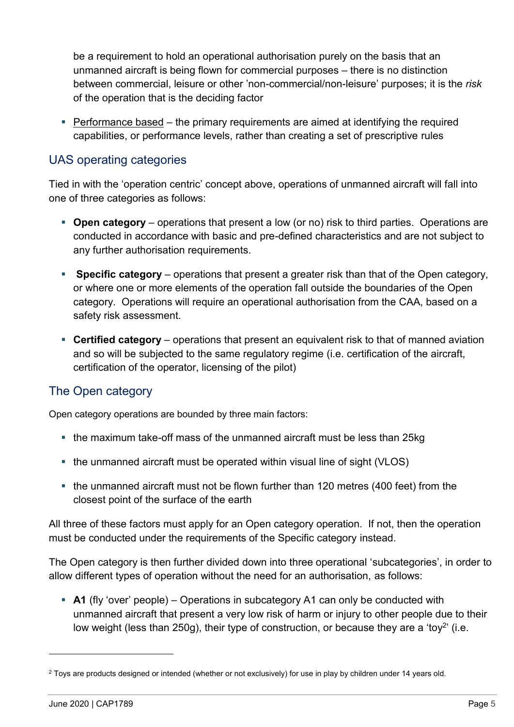be a requirement to hold an operational authorisation purely on the basis that an unmanned aircraft is being flown for commercial purposes – there is no distinction between commercial, leisure or other 'non-commercial/non-leisure' purposes; it is the *risk*  of the operation that is the deciding factor

■ Performance based – the primary requirements are aimed at identifying the required capabilities, or performance levels, rather than creating a set of prescriptive rules

## UAS operating categories

Tied in with the 'operation centric' concept above, operations of unmanned aircraft will fall into one of three categories as follows:

- **Open category** operations that present a low (or no) risk to third parties. Operations are conducted in accordance with basic and pre-defined characteristics and are not subject to any further authorisation requirements.
- **Specific category** operations that present a greater risk than that of the Open category, or where one or more elements of the operation fall outside the boundaries of the Open category. Operations will require an operational authorisation from the CAA, based on a safety risk assessment.
- **Certified category** operations that present an equivalent risk to that of manned aviation and so will be subjected to the same regulatory regime (i.e. certification of the aircraft, certification of the operator, licensing of the pilot)

# The Open category

Open category operations are bounded by three main factors:

- the maximum take-off mass of the unmanned aircraft must be less than 25kg
- the unmanned aircraft must be operated within visual line of sight (VLOS)
- the unmanned aircraft must not be flown further than 120 metres (400 feet) from the closest point of the surface of the earth

All three of these factors must apply for an Open category operation. If not, then the operation must be conducted under the requirements of the Specific category instead.

The Open category is then further divided down into three operational 'subcategories', in order to allow different types of operation without the need for an authorisation, as follows:

**• A1** (fly 'over' people) – Operations in subcategory A1 can only be conducted with unmanned aircraft that present a very low risk of harm or injury to other people due to their low weight (less than 250g), their type of construction, or because they are a 'toy<sup>2</sup>' (i.e.

-

<sup>&</sup>lt;sup>2</sup> Toys are products designed or intended (whether or not exclusively) for use in play by children under 14 years old.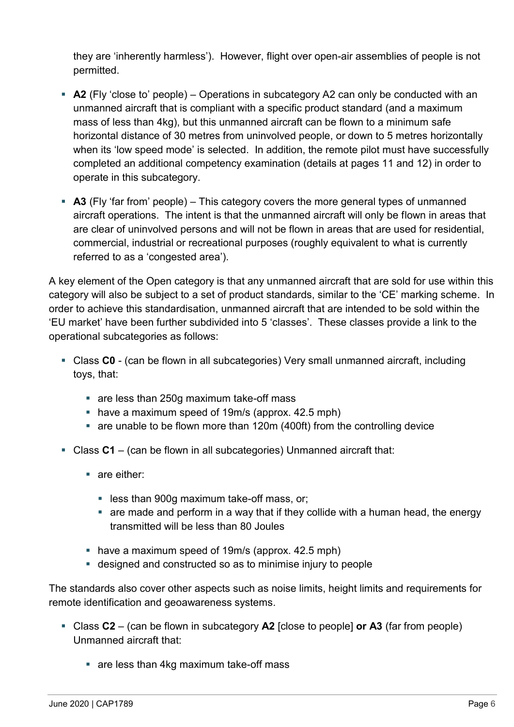they are 'inherently harmless'). However, flight over open-air assemblies of people is not permitted.

- **A2** (Fly 'close to' people) Operations in subcategory A2 can only be conducted with an unmanned aircraft that is compliant with a specific product standard (and a maximum mass of less than 4kg), but this unmanned aircraft can be flown to a minimum safe horizontal distance of 30 metres from uninvolved people, or down to 5 metres horizontally when its 'low speed mode' is selected. In addition, the remote pilot must have successfully completed an additional competency examination (details at pages 11 and 12) in order to operate in this subcategory.
- **A3** (Fly 'far from' people) This category covers the more general types of unmanned aircraft operations. The intent is that the unmanned aircraft will only be flown in areas that are clear of uninvolved persons and will not be flown in areas that are used for residential, commercial, industrial or recreational purposes (roughly equivalent to what is currently referred to as a 'congested area').

A key element of the Open category is that any unmanned aircraft that are sold for use within this category will also be subject to a set of product standards, similar to the 'CE' marking scheme. In order to achieve this standardisation, unmanned aircraft that are intended to be sold within the 'EU market' have been further subdivided into 5 'classes'. These classes provide a link to the operational subcategories as follows:

- Class **C0** (can be flown in all subcategories) Very small unmanned aircraft, including toys, that:
	- are less than 250g maximum take-off mass
	- have a maximum speed of 19m/s (approx. 42.5 mph)
	- are unable to be flown more than 120m (400ft) from the controlling device
- Class **C1** (can be flown in all subcategories) Unmanned aircraft that:
	- are either:
		- less than 900q maximum take-off mass, or;
		- are made and perform in a way that if they collide with a human head, the energy transmitted will be less than 80 Joules
	- have a maximum speed of 19m/s (approx. 42.5 mph)
	- designed and constructed so as to minimise injury to people

The standards also cover other aspects such as noise limits, height limits and requirements for remote identification and geoawareness systems.

- Class **C2**  (can be flown in subcategory **A2** [close to people] **or A3** (far from people) Unmanned aircraft that:
	- are less than 4kg maximum take-off mass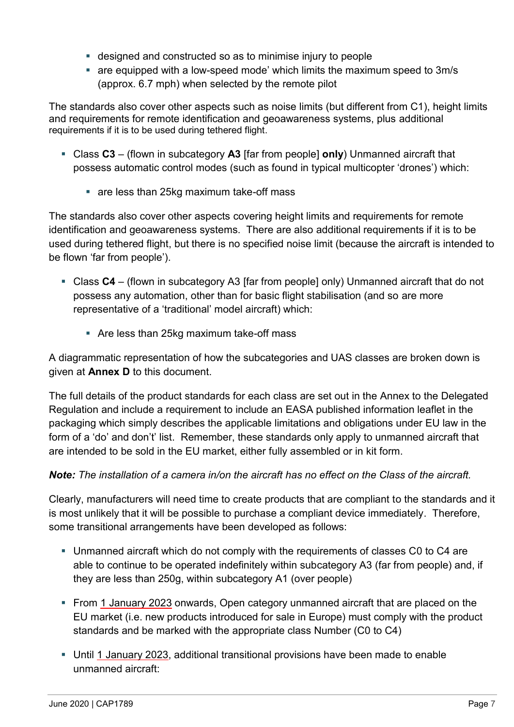- designed and constructed so as to minimise injury to people
- are equipped with a low-speed mode' which limits the maximum speed to 3m/s (approx. 6.7 mph) when selected by the remote pilot

The standards also cover other aspects such as noise limits (but different from C1), height limits and requirements for remote identification and geoawareness systems, plus additional requirements if it is to be used during tethered flight.

- Class **C3** (flown in subcategory **A3** [far from people] **only**) Unmanned aircraft that possess automatic control modes (such as found in typical multicopter 'drones') which:
	- are less than 25kg maximum take-off mass

The standards also cover other aspects covering height limits and requirements for remote identification and geoawareness systems. There are also additional requirements if it is to be used during tethered flight, but there is no specified noise limit (because the aircraft is intended to be flown 'far from people').

- Class C4 (flown in subcategory A3 [far from people] only) Unmanned aircraft that do not possess any automation, other than for basic flight stabilisation (and so are more representative of a 'traditional' model aircraft) which:
	- Are less than 25kg maximum take-off mass

A diagrammatic representation of how the subcategories and UAS classes are broken down is given at **Annex D** to this document.

The full details of the product standards for each class are set out in the Annex to the Delegated Regulation and include a requirement to include an EASA published information leaflet in the packaging which simply describes the applicable limitations and obligations under EU law in the form of a 'do' and don't' list. Remember, these standards only apply to unmanned aircraft that are intended to be sold in the EU market, either fully assembled or in kit form.

## *Note: The installation of a camera in/on the aircraft has no effect on the Class of the aircraft.*

Clearly, manufacturers will need time to create products that are compliant to the standards and it is most unlikely that it will be possible to purchase a compliant device immediately. Therefore, some transitional arrangements have been developed as follows:

- Unmanned aircraft which do not comply with the requirements of classes C0 to C4 are able to continue to be operated indefinitely within subcategory A3 (far from people) and, if they are less than 250g, within subcategory A1 (over people)
- From 1 January 2023 onwards, Open category unmanned aircraft that are placed on the EU market (i.e. new products introduced for sale in Europe) must comply with the product standards and be marked with the appropriate class Number (C0 to C4)
- Until 1 January 2023, additional transitional provisions have been made to enable unmanned aircraft: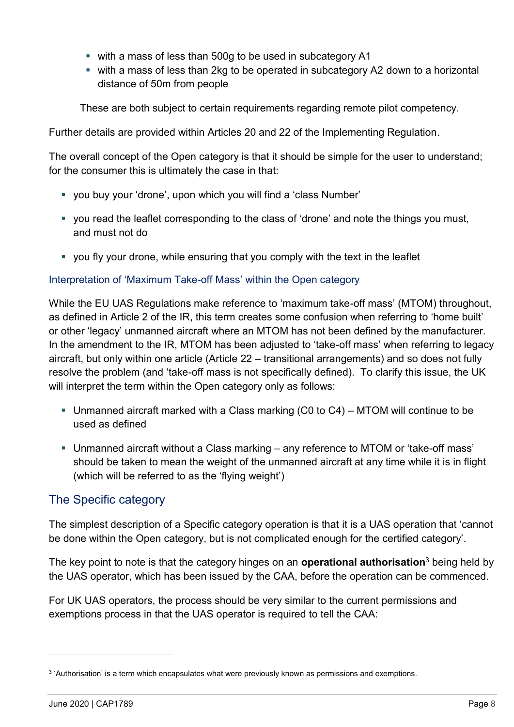- with a mass of less than 500g to be used in subcategory A1
- with a mass of less than 2kg to be operated in subcategory A2 down to a horizontal distance of 50m from people

These are both subject to certain requirements regarding remote pilot competency.

Further details are provided within Articles 20 and 22 of the Implementing Regulation.

The overall concept of the Open category is that it should be simple for the user to understand; for the consumer this is ultimately the case in that:

- you buy your 'drone', upon which you will find a 'class Number'
- you read the leaflet corresponding to the class of 'drone' and note the things you must, and must not do
- you fly your drone, while ensuring that you comply with the text in the leaflet

## Interpretation of 'Maximum Take-off Mass' within the Open category

While the EU UAS Regulations make reference to 'maximum take-off mass' (MTOM) throughout, as defined in Article 2 of the IR, this term creates some confusion when referring to 'home built' or other 'legacy' unmanned aircraft where an MTOM has not been defined by the manufacturer. In the amendment to the IR, MTOM has been adjusted to 'take-off mass' when referring to legacy aircraft, but only within one article (Article 22 – transitional arrangements) and so does not fully resolve the problem (and 'take-off mass is not specifically defined). To clarify this issue, the UK will interpret the term within the Open category only as follows:

- **Unmanned aircraft marked with a Class marking (C0 to C4) MTOM will continue to be** used as defined
- Unmanned aircraft without a Class marking any reference to MTOM or 'take-off mass' should be taken to mean the weight of the unmanned aircraft at any time while it is in flight (which will be referred to as the 'flying weight')

# The Specific category

The simplest description of a Specific category operation is that it is a UAS operation that 'cannot be done within the Open category, but is not complicated enough for the certified category'.

The key point to note is that the category hinges on an **operational authorisation**<sup>3</sup> being held by the UAS operator, which has been issued by the CAA, before the operation can be commenced.

For UK UAS operators, the process should be very similar to the current permissions and exemptions process in that the UAS operator is required to tell the CAA:

-

<sup>&</sup>lt;sup>3</sup> 'Authorisation' is a term which encapsulates what were previously known as permissions and exemptions.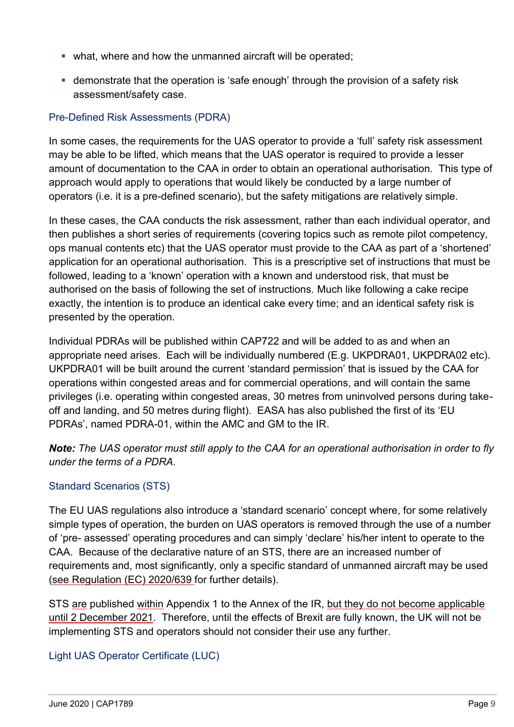- what, where and how the unmanned aircraft will be operated;
- **EX** demonstrate that the operation is 'safe enough' through the provision of a safety risk assessment/safety case.

## Pre-Defined Risk Assessments (PDRA)

In some cases, the requirements for the UAS operator to provide a 'full' safety risk assessment may be able to be lifted, which means that the UAS operator is required to provide a lesser amount of documentation to the CAA in order to obtain an operational authorisation. This type of approach would apply to operations that would likely be conducted by a large number of operators (i.e. it is a pre-defined scenario), but the safety mitigations are relatively simple.

In these cases, the CAA conducts the risk assessment, rather than each individual operator, and then publishes a short series of requirements (covering topics such as remote pilot competency, ops manual contents etc) that the UAS operator must provide to the CAA as part of a 'shortened' application for an operational authorisation. This is a prescriptive set of instructions that must be followed, leading to a 'known' operation with a known and understood risk, that must be authorised on the basis of following the set of instructions. Much like following a cake recipe exactly, the intention is to produce an identical cake every time; and an identical safety risk is presented by the operation.

Individual PDRAs will be published within CAP722 and will be added to as and when an appropriate need arises. Each will be individually numbered (E.g. UKPDRA01, UKPDRA02 etc). UKPDRA01 will be built around the current 'standard permission' that is issued by the CAA for operations within congested areas and for commercial operations, and will contain the same privileges (i.e. operating within congested areas, 30 metres from uninvolved persons during takeoff and landing, and 50 metres during flight). EASA has also published the first of its 'EU PDRAs', named PDRA-01, within the AMC and GM to the IR.

*Note: The UAS operator must still apply to the CAA for an operational authorisation in order to fly under the terms of a PDRA.* 

## Standard Scenarios (STS)

The EU UAS regulations also introduce a 'standard scenario' concept where, for some relatively simple types of operation, the burden on UAS operators is removed through the use of a number of 'pre- assessed' operating procedures and can simply 'declare' his/her intent to operate to the CAA. Because of the declarative nature of an STS, there are an increased number of requirements and, most significantly, only a specific standard of unmanned aircraft may be used (see Regulation (EC) 2020/639 for further details).

STS are published within Appendix 1 to the Annex of the IR, but they do not become applicable until 2 December 2021. Therefore, until the effects of Brexit are fully known, the UK will not be implementing STS and operators should not consider their use any further.

Light UAS Operator Certificate (LUC)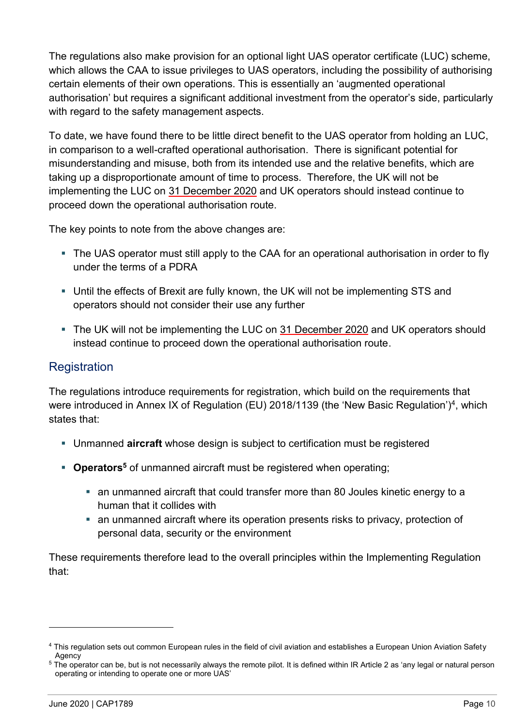The regulations also make provision for an optional light UAS operator certificate (LUC) scheme, which allows the CAA to issue privileges to UAS operators, including the possibility of authorising certain elements of their own operations. This is essentially an 'augmented operational authorisation' but requires a significant additional investment from the operator's side, particularly with regard to the safety management aspects.

To date, we have found there to be little direct benefit to the UAS operator from holding an LUC, in comparison to a well-crafted operational authorisation. There is significant potential for misunderstanding and misuse, both from its intended use and the relative benefits, which are taking up a disproportionate amount of time to process. Therefore, the UK will not be implementing the LUC on 31 December 2020 and UK operators should instead continue to proceed down the operational authorisation route.

The key points to note from the above changes are:

- The UAS operator must still apply to the CAA for an operational authorisation in order to fly under the terms of a PDRA
- Until the effects of Brexit are fully known, the UK will not be implementing STS and operators should not consider their use any further
- The UK will not be implementing the LUC on 31 December 2020 and UK operators should instead continue to proceed down the operational authorisation route.

## **Registration**

The regulations introduce requirements for registration, which build on the requirements that were introduced in Annex IX of Regulation (EU) 2018/1139 (the 'New Basic Regulation')<sup>4</sup>, which states that:

- Unmanned **aircraft** whose design is subject to certification must be registered
- **Operators<sup>5</sup>** of unmanned aircraft must be registered when operating;
	- an unmanned aircraft that could transfer more than 80 Joules kinetic energy to a human that it collides with
	- an unmanned aircraft where its operation presents risks to privacy, protection of personal data, security or the environment

These requirements therefore lead to the overall principles within the Implementing Regulation that:

-

<sup>4</sup> This regulation sets out common European rules in the field of civil aviation and establishes a European Union Aviation Safety Agency

<sup>&</sup>lt;sup>5</sup> The operator can be, but is not necessarily always the remote pilot. It is defined within IR Article 2 as 'any legal or natural person operating or intending to operate one or more UAS'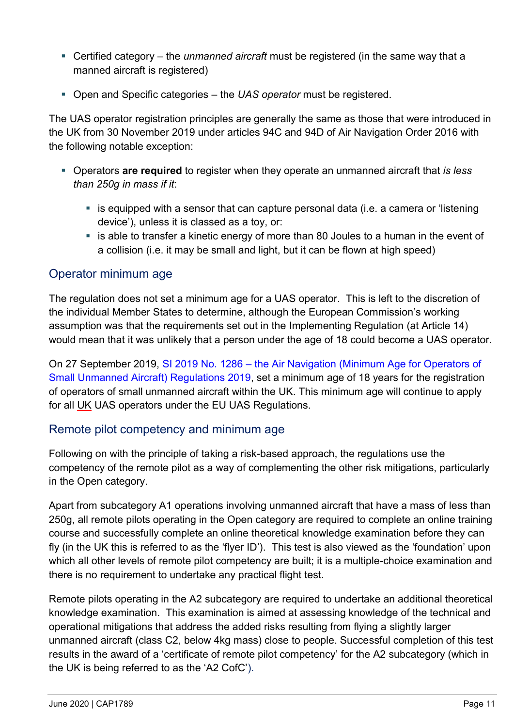- Certified category the *unmanned aircraft* must be registered (in the same way that a manned aircraft is registered)
- Open and Specific categories the *UAS operator* must be registered.

The UAS operator registration principles are generally the same as those that were introduced in the UK from 30 November 2019 under articles 94C and 94D of Air Navigation Order 2016 with the following notable exception:

- Operators **are required** to register when they operate an unmanned aircraft that *is less than 250g in mass if it*:
	- is equipped with a sensor that can capture personal data (i.e. a camera or 'listening device'), unless it is classed as a toy, or:
	- **Example to transfer a kinetic energy of more than 80 Joules to a human in the event of** a collision (i.e. it may be small and light, but it can be flown at high speed)

## Operator minimum age

The regulation does not set a minimum age for a UAS operator. This is left to the discretion of the individual Member States to determine, although the European Commission's working assumption was that the requirements set out in the Implementing Regulation (at Article 14) would mean that it was unlikely that a person under the age of 18 could become a UAS operator.

On 27 September 2019, SI 2019 No. 1286 – [the Air Navigation \(Minimum Age for Operators of](http://www.legislation.gov.uk/uksi/2019/1286/made)  [Small Unmanned Aircraft\) Regulations 2019,](http://www.legislation.gov.uk/uksi/2019/1286/made) set a minimum age of 18 years for the registration of operators of small unmanned aircraft within the UK. This minimum age will continue to apply for all UK UAS operators under the EU UAS Regulations.

# Remote pilot competency and minimum age

Following on with the principle of taking a risk-based approach, the regulations use the competency of the remote pilot as a way of complementing the other risk mitigations, particularly in the Open category.

Apart from subcategory A1 operations involving unmanned aircraft that have a mass of less than 250g, all remote pilots operating in the Open category are required to complete an online training course and successfully complete an online theoretical knowledge examination before they can fly (in the UK this is referred to as the 'flyer ID'). This test is also viewed as the 'foundation' upon which all other levels of remote pilot competency are built; it is a multiple-choice examination and there is no requirement to undertake any practical flight test.

Remote pilots operating in the A2 subcategory are required to undertake an additional theoretical knowledge examination. This examination is aimed at assessing knowledge of the technical and operational mitigations that address the added risks resulting from flying a slightly larger unmanned aircraft (class C2, below 4kg mass) close to people. Successful completion of this test results in the award of a 'certificate of remote pilot competency' for the A2 subcategory (which in the UK is being referred to as the 'A2 CofC').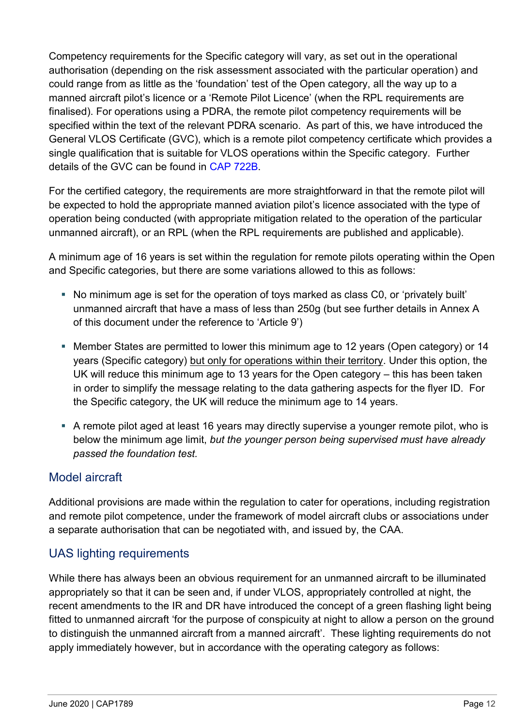Competency requirements for the Specific category will vary, as set out in the operational authorisation (depending on the risk assessment associated with the particular operation) and could range from as little as the 'foundation' test of the Open category, all the way up to a manned aircraft pilot's licence or a 'Remote Pilot Licence' (when the RPL requirements are finalised). For operations using a PDRA, the remote pilot competency requirements will be specified within the text of the relevant PDRA scenario. As part of this, we have introduced the General VLOS Certificate (GVC), which is a remote pilot competency certificate which provides a single qualification that is suitable for VLOS operations within the Specific category. Further details of the GVC can be found in [CAP 722B.](http://www.caa.co.uk/CAP722B)

For the certified category, the requirements are more straightforward in that the remote pilot will be expected to hold the appropriate manned aviation pilot's licence associated with the type of operation being conducted (with appropriate mitigation related to the operation of the particular unmanned aircraft), or an RPL (when the RPL requirements are published and applicable).

A minimum age of 16 years is set within the regulation for remote pilots operating within the Open and Specific categories, but there are some variations allowed to this as follows:

- No minimum age is set for the operation of toys marked as class C0, or 'privately built' unmanned aircraft that have a mass of less than 250g (but see further details in Annex A of this document under the reference to 'Article 9')
- Member States are permitted to lower this minimum age to 12 years (Open category) or 14 years (Specific category) but only for operations within their territory. Under this option, the UK will reduce this minimum age to 13 years for the Open category – this has been taken in order to simplify the message relating to the data gathering aspects for the flyer ID. For the Specific category, the UK will reduce the minimum age to 14 years.
- A remote pilot aged at least 16 years may directly supervise a younger remote pilot, who is below the minimum age limit, *but the younger person being supervised must have already passed the foundation test.*

# Model aircraft

Additional provisions are made within the regulation to cater for operations, including registration and remote pilot competence, under the framework of model aircraft clubs or associations under a separate authorisation that can be negotiated with, and issued by, the CAA.

# UAS lighting requirements

While there has always been an obvious requirement for an unmanned aircraft to be illuminated appropriately so that it can be seen and, if under VLOS, appropriately controlled at night, the recent amendments to the IR and DR have introduced the concept of a green flashing light being fitted to unmanned aircraft 'for the purpose of conspicuity at night to allow a person on the ground to distinguish the unmanned aircraft from a manned aircraft'. These lighting requirements do not apply immediately however, but in accordance with the operating category as follows: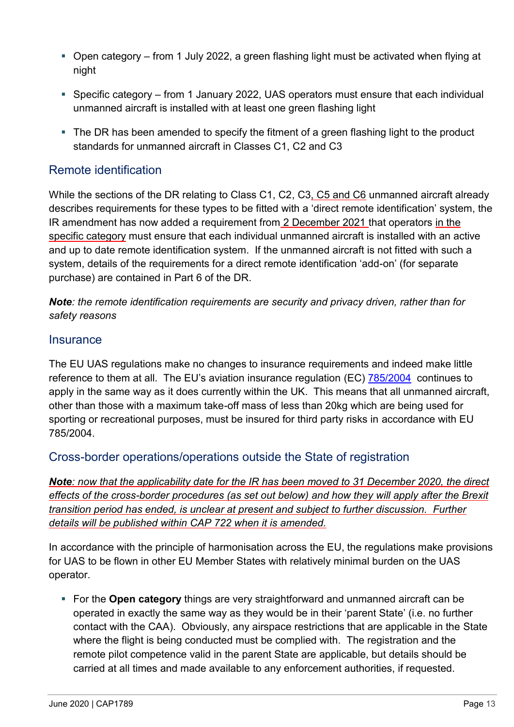- Open category from 1 July 2022, a green flashing light must be activated when flying at night
- Specific category from 1 January 2022, UAS operators must ensure that each individual unmanned aircraft is installed with at least one green flashing light
- The DR has been amended to specify the fitment of a green flashing light to the product standards for unmanned aircraft in Classes C1, C2 and C3

## Remote identification

While the sections of the DR relating to Class C1, C2, C3, C5 and C6 unmanned aircraft already describes requirements for these types to be fitted with a 'direct remote identification' system, the IR amendment has now added a requirement from 2 December 2021 that operators in the specific category must ensure that each individual unmanned aircraft is installed with an active and up to date remote identification system. If the unmanned aircraft is not fitted with such a system, details of the requirements for a direct remote identification 'add-on' (for separate purchase) are contained in Part 6 of the DR.

*Note: the remote identification requirements are security and privacy driven, rather than for safety reasons*

## **Insurance**

The EU UAS regulations make no changes to insurance requirements and indeed make little reference to them at all. The EU's aviation insurance regulation (EC) [785/2004](https://eur-lex.europa.eu/legal-content/EN/ALL/?uri=CELEX%3A32004R0785) continues to apply in the same way as it does currently within the UK. This means that all unmanned aircraft, other than those with a maximum take-off mass of less than 20kg which are being used for sporting or recreational purposes, must be insured for third party risks in accordance with EU 785/2004.

Cross-border operations/operations outside the State of registration

*Note: now that the applicability date for the IR has been moved to 31 December 2020, the direct effects of the cross-border procedures (as set out below) and how they will apply after the Brexit transition period has ended, is unclear at present and subject to further discussion. Further details will be published within CAP 722 when it is amended.* 

In accordance with the principle of harmonisation across the EU, the regulations make provisions for UAS to be flown in other EU Member States with relatively minimal burden on the UAS operator.

**EXECT** For the **Open category** things are very straightforward and unmanned aircraft can be operated in exactly the same way as they would be in their 'parent State' (i.e. no further contact with the CAA). Obviously, any airspace restrictions that are applicable in the State where the flight is being conducted must be complied with. The registration and the remote pilot competence valid in the parent State are applicable, but details should be carried at all times and made available to any enforcement authorities, if requested.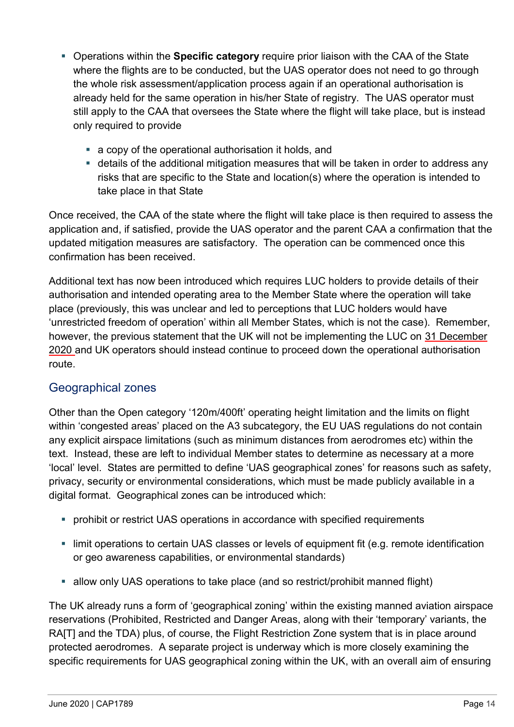- Operations within the **Specific category** require prior liaison with the CAA of the State where the flights are to be conducted, but the UAS operator does not need to go through the whole risk assessment/application process again if an operational authorisation is already held for the same operation in his/her State of registry. The UAS operator must still apply to the CAA that oversees the State where the flight will take place, but is instead only required to provide
	- a copy of the operational authorisation it holds, and
	- **EXECT** details of the additional mitigation measures that will be taken in order to address any risks that are specific to the State and location(s) where the operation is intended to take place in that State

Once received, the CAA of the state where the flight will take place is then required to assess the application and, if satisfied, provide the UAS operator and the parent CAA a confirmation that the updated mitigation measures are satisfactory. The operation can be commenced once this confirmation has been received.

Additional text has now been introduced which requires LUC holders to provide details of their authorisation and intended operating area to the Member State where the operation will take place (previously, this was unclear and led to perceptions that LUC holders would have 'unrestricted freedom of operation' within all Member States, which is not the case). Remember, however, the previous statement that the UK will not be implementing the LUC on 31 December 2020 and UK operators should instead continue to proceed down the operational authorisation route.

# Geographical zones

Other than the Open category '120m/400ft' operating height limitation and the limits on flight within 'congested areas' placed on the A3 subcategory, the EU UAS regulations do not contain any explicit airspace limitations (such as minimum distances from aerodromes etc) within the text. Instead, these are left to individual Member states to determine as necessary at a more 'local' level. States are permitted to define 'UAS geographical zones' for reasons such as safety, privacy, security or environmental considerations, which must be made publicly available in a digital format. Geographical zones can be introduced which:

- prohibit or restrict UAS operations in accordance with specified requirements
- **EXTERNITHER Institute In the imaginal in the limit operation is allocated in the limit operation is allocated i** or geo awareness capabilities, or environmental standards)
- allow only UAS operations to take place (and so restrict/prohibit manned flight)

The UK already runs a form of 'geographical zoning' within the existing manned aviation airspace reservations (Prohibited, Restricted and Danger Areas, along with their 'temporary' variants, the RA[T] and the TDA) plus, of course, the Flight Restriction Zone system that is in place around protected aerodromes. A separate project is underway which is more closely examining the specific requirements for UAS geographical zoning within the UK, with an overall aim of ensuring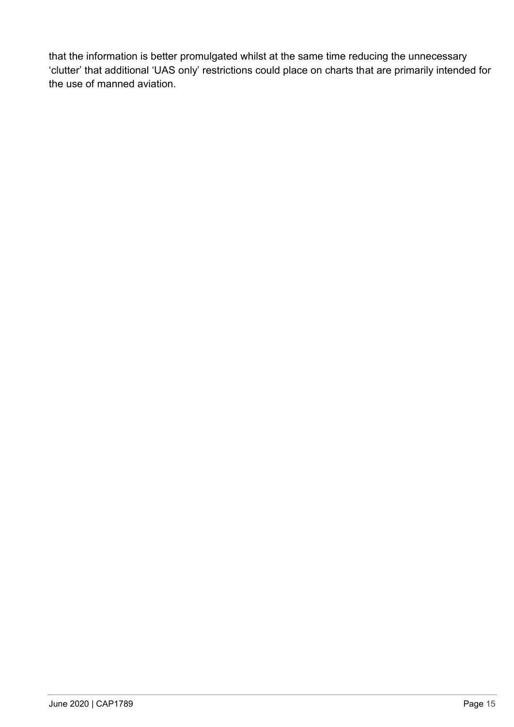that the information is better promulgated whilst at the same time reducing the unnecessary 'clutter' that additional 'UAS only' restrictions could place on charts that are primarily intended for the use of manned aviation.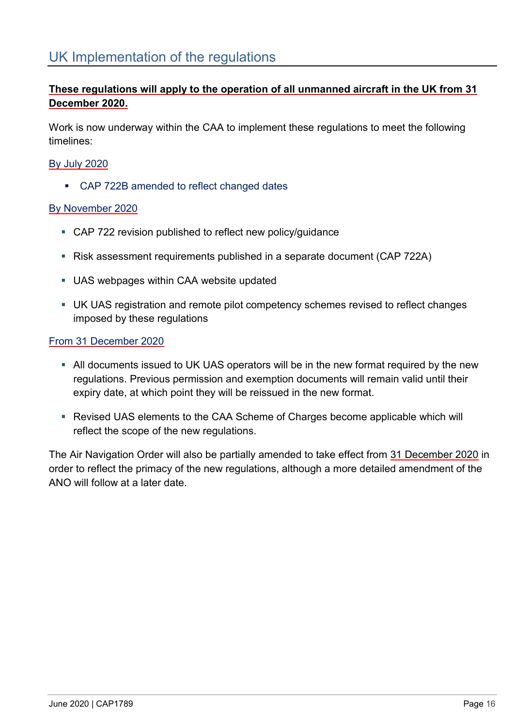# UK Implementation of the regulations

## **These regulations will apply to the operation of all unmanned aircraft in the UK from 31 December 2020.**

Work is now underway within the CAA to implement these regulations to meet the following timelines:

## By July 2020

■ CAP 722B amended to reflect changed dates

## By November 2020

- CAP 722 revision published to reflect new policy/quidance
- Risk assessment requirements published in a separate document (CAP 722A)
- UAS webpages within CAA website updated
- **UK UAS registration and remote pilot competency schemes revised to reflect changes** imposed by these regulations

## From 31 December 2020

- **EXTEND 10** All documents issued to UK UAS operators will be in the new format required by the new regulations. Previous permission and exemption documents will remain valid until their expiry date, at which point they will be reissued in the new format.
- Revised UAS elements to the CAA Scheme of Charges become applicable which will reflect the scope of the new regulations.

The Air Navigation Order will also be partially amended to take effect from 31 December 2020 in order to reflect the primacy of the new regulations, although a more detailed amendment of the ANO will follow at a later date.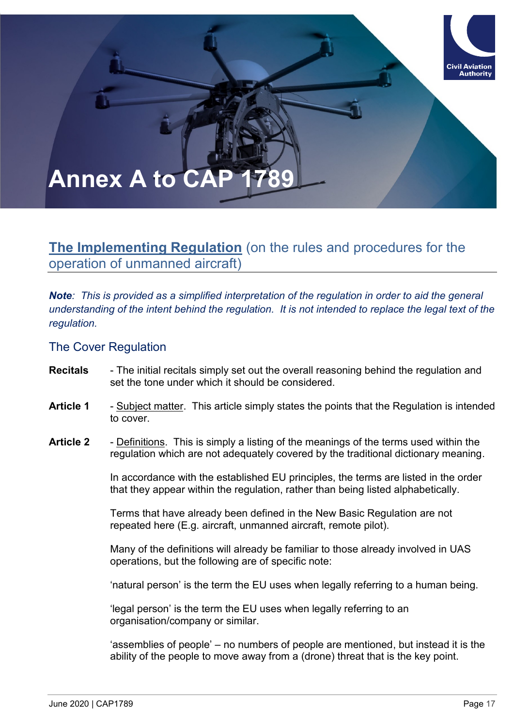# **Annex A to CAP**

# **The Implementing Regulation** (on the rules and procedures for the operation of unmanned aircraft)

*Note: This is provided as a simplified interpretation of the regulation in order to aid the general understanding of the intent behind the regulation. It is not intended to replace the legal text of the regulation.*

The Cover Regulation

- **Recitals** The initial recitals simply set out the overall reasoning behind the regulation and set the tone under which it should be considered.
- **Article 1** Subject matter. This article simply states the points that the Regulation is intended to cover.
- **Article 2** Definitions. This is simply a listing of the meanings of the terms used within the regulation which are not adequately covered by the traditional dictionary meaning.

In accordance with the established EU principles, the terms are listed in the order that they appear within the regulation, rather than being listed alphabetically.

Terms that have already been defined in the New Basic Regulation are not repeated here (E.g. aircraft, unmanned aircraft, remote pilot).

Many of the definitions will already be familiar to those already involved in UAS operations, but the following are of specific note:

'natural person' is the term the EU uses when legally referring to a human being.

'legal person' is the term the EU uses when legally referring to an organisation/company or similar.

'assemblies of people' – no numbers of people are mentioned, but instead it is the ability of the people to move away from a (drone) threat that is the key point.

**Civil Aviation Authority**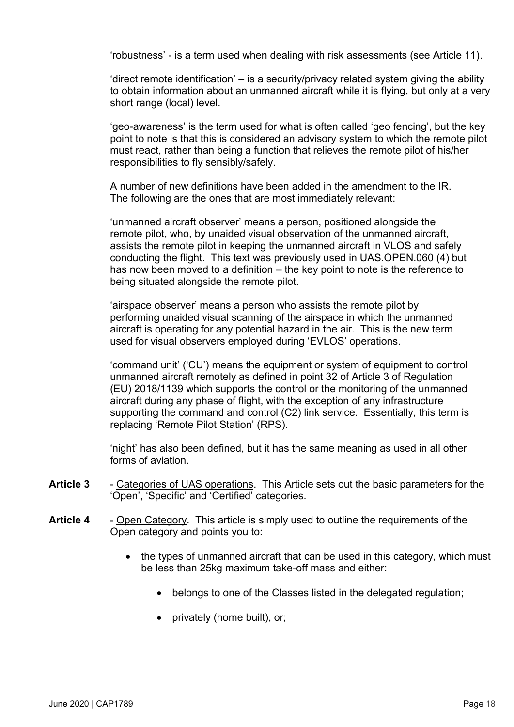'robustness' - is a term used when dealing with risk assessments (see Article 11).

'direct remote identification' – is a security/privacy related system giving the ability to obtain information about an unmanned aircraft while it is flying, but only at a very short range (local) level.

'geo-awareness' is the term used for what is often called 'geo fencing', but the key point to note is that this is considered an advisory system to which the remote pilot must react, rather than being a function that relieves the remote pilot of his/her responsibilities to fly sensibly/safely.

A number of new definitions have been added in the amendment to the IR. The following are the ones that are most immediately relevant:

'unmanned aircraft observer' means a person, positioned alongside the remote pilot, who, by unaided visual observation of the unmanned aircraft, assists the remote pilot in keeping the unmanned aircraft in VLOS and safely conducting the flight. This text was previously used in UAS.OPEN.060 (4) but has now been moved to a definition – the key point to note is the reference to being situated alongside the remote pilot.

'airspace observer' means a person who assists the remote pilot by performing unaided visual scanning of the airspace in which the unmanned aircraft is operating for any potential hazard in the air. This is the new term used for visual observers employed during 'EVLOS' operations.

'command unit' ('CU') means the equipment or system of equipment to control unmanned aircraft remotely as defined in point 32 of Article 3 of Regulation (EU) 2018/1139 which supports the control or the monitoring of the unmanned aircraft during any phase of flight, with the exception of any infrastructure supporting the command and control (C2) link service. Essentially, this term is replacing 'Remote Pilot Station' (RPS).

'night' has also been defined, but it has the same meaning as used in all other forms of aviation.

- **Article 3** Categories of UAS operations. This Article sets out the basic parameters for the 'Open', 'Specific' and 'Certified' categories.
- **Article 4** Open Category. This article is simply used to outline the requirements of the Open category and points you to:
	- the types of unmanned aircraft that can be used in this category, which must be less than 25kg maximum take-off mass and either:
		- belongs to one of the Classes listed in the delegated regulation;
		- privately (home built), or;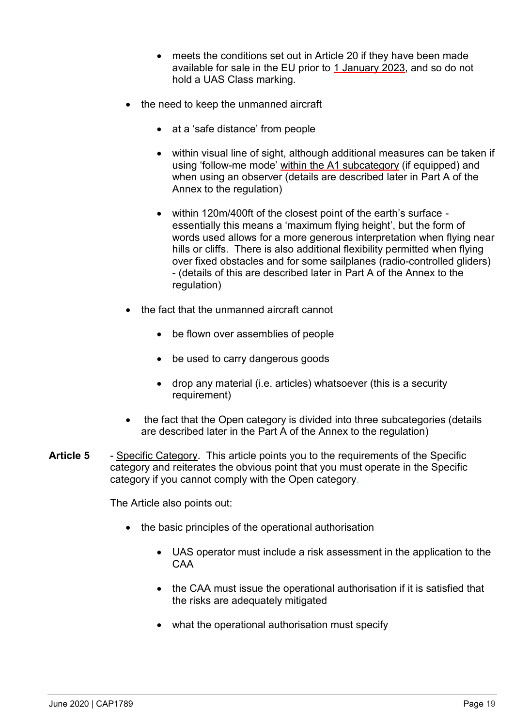- meets the conditions set out in Article 20 if they have been made available for sale in the EU prior to 1 January 2023, and so do not hold a UAS Class marking.
- the need to keep the unmanned aircraft
	- at a 'safe distance' from people
	- within visual line of sight, although additional measures can be taken if using 'follow-me mode' within the A1 subcategory (if equipped) and when using an observer (details are described later in Part A of the Annex to the regulation)
	- within 120m/400ft of the closest point of the earth's surface essentially this means a 'maximum flying height', but the form of words used allows for a more generous interpretation when flying near hills or cliffs. There is also additional flexibility permitted when flying over fixed obstacles and for some sailplanes (radio-controlled gliders) - (details of this are described later in Part A of the Annex to the regulation)
- the fact that the unmanned aircraft cannot
	- be flown over assemblies of people
	- be used to carry dangerous goods
	- drop any material (i.e. articles) whatsoever (this is a security requirement)
- the fact that the Open category is divided into three subcategories (details are described later in the Part A of the Annex to the regulation)
- **Article 5** Specific Category. This article points you to the requirements of the Specific category and reiterates the obvious point that you must operate in the Specific category if you cannot comply with the Open category.

The Article also points out:

- the basic principles of the operational authorisation
	- UAS operator must include a risk assessment in the application to the CAA
	- the CAA must issue the operational authorisation if it is satisfied that the risks are adequately mitigated
	- what the operational authorisation must specify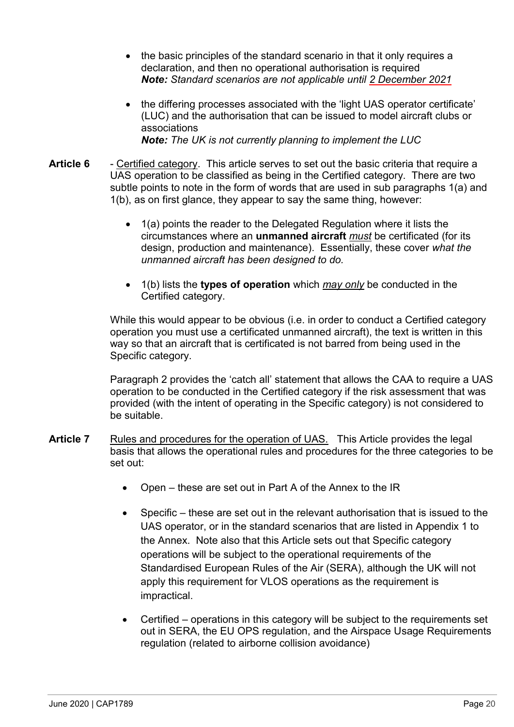- the basic principles of the standard scenario in that it only requires a declaration, and then no operational authorisation is required *Note: Standard scenarios are not applicable until 2 December 2021*
- the differing processes associated with the 'light UAS operator certificate' (LUC) and the authorisation that can be issued to model aircraft clubs or associations *Note: The UK is not currently planning to implement the LUC*
- **Article 6** Certified category. This article serves to set out the basic criteria that require a UAS operation to be classified as being in the Certified category. There are two subtle points to note in the form of words that are used in sub paragraphs 1(a) and 1(b), as on first glance, they appear to say the same thing, however:
	- 1(a) points the reader to the Delegated Regulation where it lists the circumstances where an **unmanned aircraft** *must* be certificated (for its design, production and maintenance). Essentially, these cover *what the unmanned aircraft has been designed to do.*
	- 1(b) lists the **types of operation** which *may only* be conducted in the Certified category.

While this would appear to be obvious (i.e. in order to conduct a Certified category operation you must use a certificated unmanned aircraft), the text is written in this way so that an aircraft that is certificated is not barred from being used in the Specific category.

Paragraph 2 provides the 'catch all' statement that allows the CAA to require a UAS operation to be conducted in the Certified category if the risk assessment that was provided (with the intent of operating in the Specific category) is not considered to be suitable.

- Article 7 Rules and procedures for the operation of UAS. This Article provides the legal basis that allows the operational rules and procedures for the three categories to be set out:
	- Open these are set out in Part A of the Annex to the IR
	- Specific these are set out in the relevant authorisation that is issued to the UAS operator, or in the standard scenarios that are listed in Appendix 1 to the Annex. Note also that this Article sets out that Specific category operations will be subject to the operational requirements of the Standardised European Rules of the Air (SERA), although the UK will not apply this requirement for VLOS operations as the requirement is impractical.
	- Certified operations in this category will be subject to the requirements set out in SERA, the EU OPS regulation, and the Airspace Usage Requirements regulation (related to airborne collision avoidance)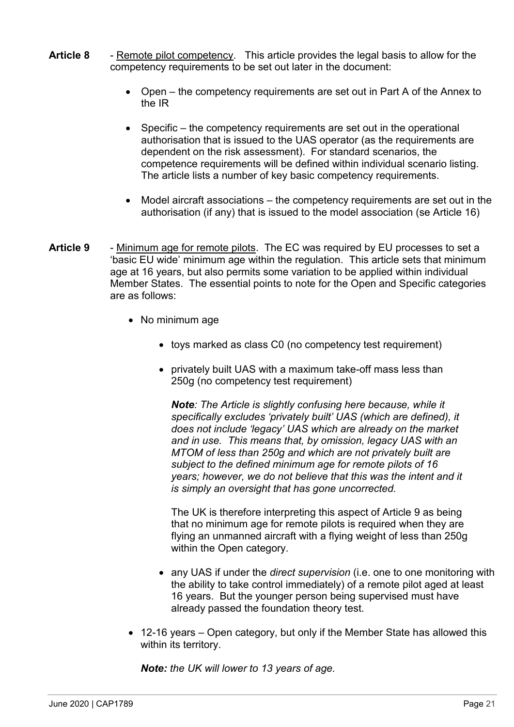- **Article 8** Remote pilot competency. This article provides the legal basis to allow for the competency requirements to be set out later in the document:
	- Open the competency requirements are set out in Part A of the Annex to the IR
	- Specific the competency requirements are set out in the operational authorisation that is issued to the UAS operator (as the requirements are dependent on the risk assessment). For standard scenarios, the competence requirements will be defined within individual scenario listing. The article lists a number of key basic competency requirements.
	- Model aircraft associations the competency requirements are set out in the authorisation (if any) that is issued to the model association (se Article 16)
- **Article 9** Minimum age for remote pilots. The EC was required by EU processes to set a 'basic EU wide' minimum age within the regulation. This article sets that minimum age at 16 years, but also permits some variation to be applied within individual Member States. The essential points to note for the Open and Specific categories are as follows:
	- No minimum age
		- toys marked as class C0 (no competency test requirement)
		- privately built UAS with a maximum take-off mass less than 250g (no competency test requirement)

*Note: The Article is slightly confusing here because, while it specifically excludes 'privately built' UAS (which are defined), it does not include 'legacy' UAS which are already on the market and in use. This means that, by omission, legacy UAS with an MTOM of less than 250g and which are not privately built are subject to the defined minimum age for remote pilots of 16 years; however, we do not believe that this was the intent and it is simply an oversight that has gone uncorrected.*

The UK is therefore interpreting this aspect of Article 9 as being that no minimum age for remote pilots is required when they are flying an unmanned aircraft with a flying weight of less than 250g within the Open category.

- any UAS if under the *direct supervision* (i.e. one to one monitoring with the ability to take control immediately) of a remote pilot aged at least 16 years. But the younger person being supervised must have already passed the foundation theory test.
- 12-16 years Open category, but only if the Member State has allowed this within its territory.

*Note: the UK will lower to 13 years of age.*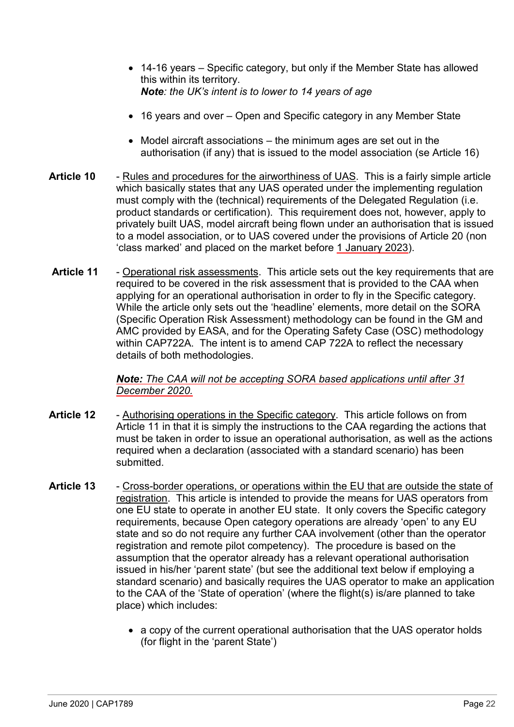- 14-16 years Specific category, but only if the Member State has allowed this within its territory. *Note: the UK's intent is to lower to 14 years of age*
- 16 years and over Open and Specific category in any Member State
- Model aircraft associations the minimum ages are set out in the authorisation (if any) that is issued to the model association (se Article 16)
- **Article 10** Rules and procedures for the airworthiness of UAS. This is a fairly simple article which basically states that any UAS operated under the implementing regulation must comply with the (technical) requirements of the Delegated Regulation (i.e. product standards or certification). This requirement does not, however, apply to privately built UAS, model aircraft being flown under an authorisation that is issued to a model association, or to UAS covered under the provisions of Article 20 (non 'class marked' and placed on the market before 1 January 2023).
- **Article 11** Operational risk assessments. This article sets out the key requirements that are required to be covered in the risk assessment that is provided to the CAA when applying for an operational authorisation in order to fly in the Specific category. While the article only sets out the 'headline' elements, more detail on the SORA (Specific Operation Risk Assessment) methodology can be found in the GM and AMC provided by EASA, and for the Operating Safety Case (OSC) methodology within CAP722A. The intent is to amend CAP 722A to reflect the necessary details of both methodologies.

*Note: The CAA will not be accepting SORA based applications until after 31 December 2020.*

- **Article 12** Authorising operations in the Specific category. This article follows on from Article 11 in that it is simply the instructions to the CAA regarding the actions that must be taken in order to issue an operational authorisation, as well as the actions required when a declaration (associated with a standard scenario) has been submitted.
- **Article 13** Cross-border operations, or operations within the EU that are outside the state of registration. This article is intended to provide the means for UAS operators from one EU state to operate in another EU state. It only covers the Specific category requirements, because Open category operations are already 'open' to any EU state and so do not require any further CAA involvement (other than the operator registration and remote pilot competency). The procedure is based on the assumption that the operator already has a relevant operational authorisation issued in his/her 'parent state' (but see the additional text below if employing a standard scenario) and basically requires the UAS operator to make an application to the CAA of the 'State of operation' (where the flight(s) is/are planned to take place) which includes:
	- a copy of the current operational authorisation that the UAS operator holds (for flight in the 'parent State')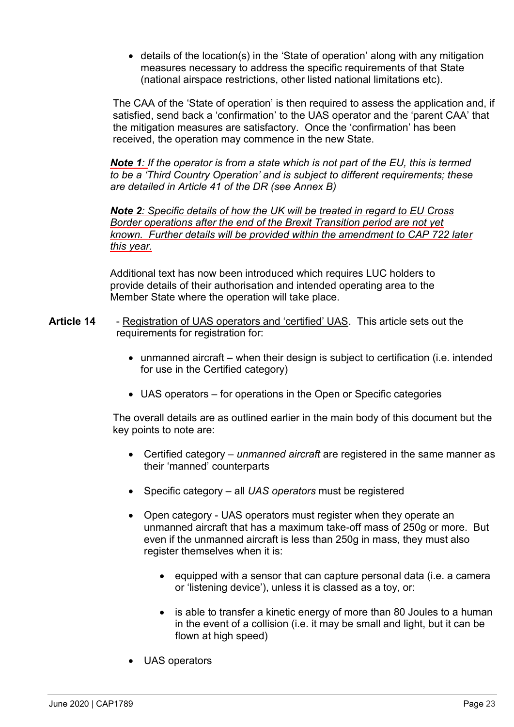• details of the location(s) in the 'State of operation' along with any mitigation measures necessary to address the specific requirements of that State (national airspace restrictions, other listed national limitations etc).

The CAA of the 'State of operation' is then required to assess the application and, if satisfied, send back a 'confirmation' to the UAS operator and the 'parent CAA' that the mitigation measures are satisfactory. Once the 'confirmation' has been received, the operation may commence in the new State.

*Note 1: If the operator is from a state which is not part of the EU, this is termed to be a 'Third Country Operation' and is subject to different requirements; these are detailed in Article 41 of the DR (see Annex B)*

*Note 2: Specific details of how the UK will be treated in regard to EU Cross Border operations after the end of the Brexit Transition period are not yet known. Further details will be provided within the amendment to CAP 722 later this year.* 

Additional text has now been introduced which requires LUC holders to provide details of their authorisation and intended operating area to the Member State where the operation will take place.

- **Article 14** Registration of UAS operators and 'certified' UAS. This article sets out the requirements for registration for:
	- unmanned aircraft when their design is subject to certification (i.e. intended for use in the Certified category)
	- UAS operators for operations in the Open or Specific categories

The overall details are as outlined earlier in the main body of this document but the key points to note are:

- Certified category *unmanned aircraft* are registered in the same manner as their 'manned' counterparts
- Specific category all *UAS operators* must be registered
- Open category UAS operators must register when they operate an unmanned aircraft that has a maximum take-off mass of 250g or more. But even if the unmanned aircraft is less than 250g in mass, they must also register themselves when it is:
	- equipped with a sensor that can capture personal data (i.e. a camera or 'listening device'), unless it is classed as a toy, or:
	- is able to transfer a kinetic energy of more than 80 Joules to a human in the event of a collision (i.e. it may be small and light, but it can be flown at high speed)
- UAS operators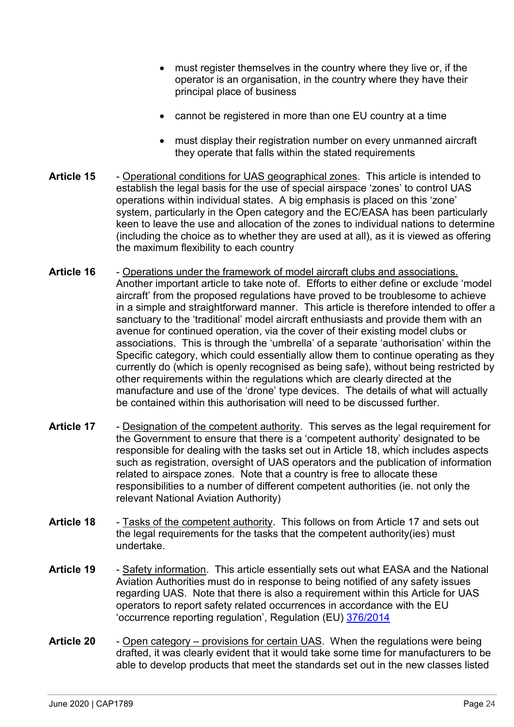- must register themselves in the country where they live or, if the operator is an organisation, in the country where they have their principal place of business
- cannot be registered in more than one EU country at a time
- must display their registration number on every unmanned aircraft they operate that falls within the stated requirements
- **Article 15** Operational conditions for UAS geographical zones. This article is intended to establish the legal basis for the use of special airspace 'zones' to control UAS operations within individual states. A big emphasis is placed on this 'zone' system, particularly in the Open category and the EC/EASA has been particularly keen to leave the use and allocation of the zones to individual nations to determine (including the choice as to whether they are used at all), as it is viewed as offering the maximum flexibility to each country
- **Article 16** Operations under the framework of model aircraft clubs and associations. Another important article to take note of. Efforts to either define or exclude 'model aircraft' from the proposed regulations have proved to be troublesome to achieve in a simple and straightforward manner. This article is therefore intended to offer a sanctuary to the 'traditional' model aircraft enthusiasts and provide them with an avenue for continued operation, via the cover of their existing model clubs or associations. This is through the 'umbrella' of a separate 'authorisation' within the Specific category, which could essentially allow them to continue operating as they currently do (which is openly recognised as being safe), without being restricted by other requirements within the regulations which are clearly directed at the manufacture and use of the 'drone' type devices. The details of what will actually be contained within this authorisation will need to be discussed further.
- Article 17 Designation of the competent authority. This serves as the legal requirement for the Government to ensure that there is a 'competent authority' designated to be responsible for dealing with the tasks set out in Article 18, which includes aspects such as registration, oversight of UAS operators and the publication of information related to airspace zones. Note that a country is free to allocate these responsibilities to a number of different competent authorities (ie. not only the relevant National Aviation Authority)
- **Article 18** Tasks of the competent authority. This follows on from Article 17 and sets out the legal requirements for the tasks that the competent authority(ies) must undertake.
- **Article 19** Safety information. This article essentially sets out what EASA and the National Aviation Authorities must do in response to being notified of any safety issues regarding UAS. Note that there is also a requirement within this Article for UAS operators to report safety related occurrences in accordance with the EU 'occurrence reporting regulation', Regulation (EU) [376/2014](https://www.easa.europa.eu/document-library/regulations/regulation-eu-no-3762014)
- **Article 20** Open category provisions for certain UAS. When the regulations were being drafted, it was clearly evident that it would take some time for manufacturers to be able to develop products that meet the standards set out in the new classes listed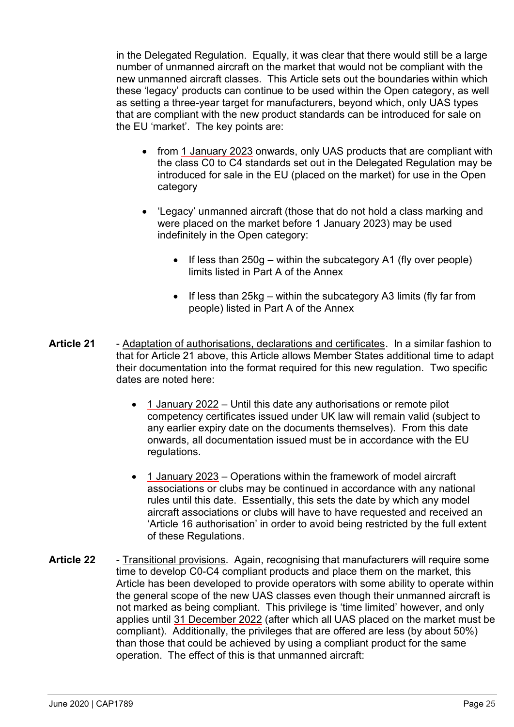in the Delegated Regulation. Equally, it was clear that there would still be a large number of unmanned aircraft on the market that would not be compliant with the new unmanned aircraft classes. This Article sets out the boundaries within which these 'legacy' products can continue to be used within the Open category, as well as setting a three-year target for manufacturers, beyond which, only UAS types that are compliant with the new product standards can be introduced for sale on the EU 'market'. The key points are:

- from 1 January 2023 onwards, only UAS products that are compliant with the class C0 to C4 standards set out in the Delegated Regulation may be introduced for sale in the EU (placed on the market) for use in the Open category
- 'Legacy' unmanned aircraft (those that do not hold a class marking and were placed on the market before 1 January 2023) may be used indefinitely in the Open category:
	- If less than 250g within the subcategory A1 (fly over people) limits listed in Part A of the Annex
	- If less than 25kg within the subcategory A3 limits (fly far from people) listed in Part A of the Annex
- **Article 21** Adaptation of authorisations, declarations and certificates. In a similar fashion to that for Article 21 above, this Article allows Member States additional time to adapt their documentation into the format required for this new regulation. Two specific dates are noted here:
	- 1 January 2022 Until this date any authorisations or remote pilot competency certificates issued under UK law will remain valid (subject to any earlier expiry date on the documents themselves). From this date onwards, all documentation issued must be in accordance with the EU regulations.
	- 1 January 2023 Operations within the framework of model aircraft associations or clubs may be continued in accordance with any national rules until this date. Essentially, this sets the date by which any model aircraft associations or clubs will have to have requested and received an 'Article 16 authorisation' in order to avoid being restricted by the full extent of these Regulations.
- **Article 22** Transitional provisions. Again, recognising that manufacturers will require some time to develop C0-C4 compliant products and place them on the market, this Article has been developed to provide operators with some ability to operate within the general scope of the new UAS classes even though their unmanned aircraft is not marked as being compliant. This privilege is 'time limited' however, and only applies until 31 December 2022 (after which all UAS placed on the market must be compliant). Additionally, the privileges that are offered are less (by about 50%) than those that could be achieved by using a compliant product for the same operation. The effect of this is that unmanned aircraft: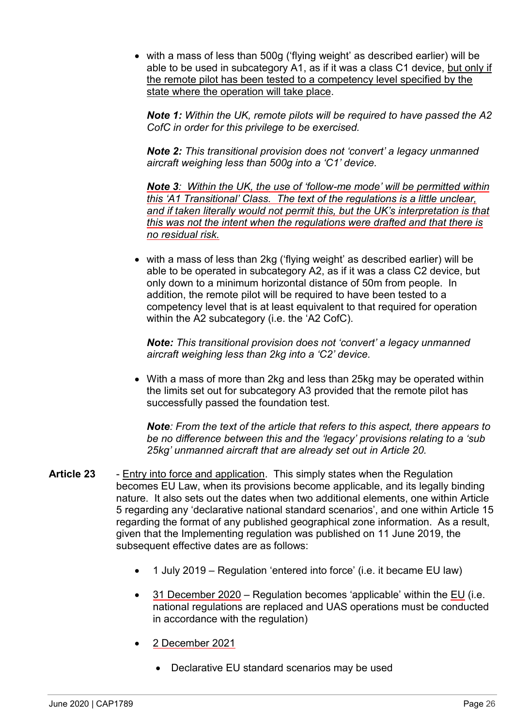• with a mass of less than 500g ('flying weight' as described earlier) will be able to be used in subcategory A1, as if it was a class C1 device, but only if the remote pilot has been tested to a competency level specified by the state where the operation will take place.

*Note 1: Within the UK, remote pilots will be required to have passed the A2 CofC in order for this privilege to be exercised.*

*Note 2: This transitional provision does not 'convert' a legacy unmanned aircraft weighing less than 500g into a 'C1' device.*

*Note 3: Within the UK, the use of 'follow-me mode' will be permitted within this 'A1 Transitional' Class. The text of the regulations is a little unclear, and if taken literally would not permit this, but the UK's interpretation is that this was not the intent when the regulations were drafted and that there is no residual risk.*

• with a mass of less than 2kg ('flying weight' as described earlier) will be able to be operated in subcategory A2, as if it was a class C2 device, but only down to a minimum horizontal distance of 50m from people. In addition, the remote pilot will be required to have been tested to a competency level that is at least equivalent to that required for operation within the A2 subcategory (i.e. the 'A2 CofC).

*Note: This transitional provision does not 'convert' a legacy unmanned aircraft weighing less than 2kg into a 'C2' device.*

• With a mass of more than 2kg and less than 25kg may be operated within the limits set out for subcategory A3 provided that the remote pilot has successfully passed the foundation test.

*Note: From the text of the article that refers to this aspect, there appears to be no difference between this and the 'legacy' provisions relating to a 'sub 25kg' unmanned aircraft that are already set out in Article 20.* 

- **Article 23** Entry into force and application. This simply states when the Regulation becomes EU Law, when its provisions become applicable, and its legally binding nature. It also sets out the dates when two additional elements, one within Article 5 regarding any 'declarative national standard scenarios', and one within Article 15 regarding the format of any published geographical zone information. As a result, given that the Implementing regulation was published on 11 June 2019, the subsequent effective dates are as follows:
	- 1 July 2019 Regulation 'entered into force' (i.e. it became EU law)
	- 31 December 2020 Regulation becomes 'applicable' within the EU (i.e. national regulations are replaced and UAS operations must be conducted in accordance with the regulation)
	- 2 December 2021
		- Declarative EU standard scenarios may be used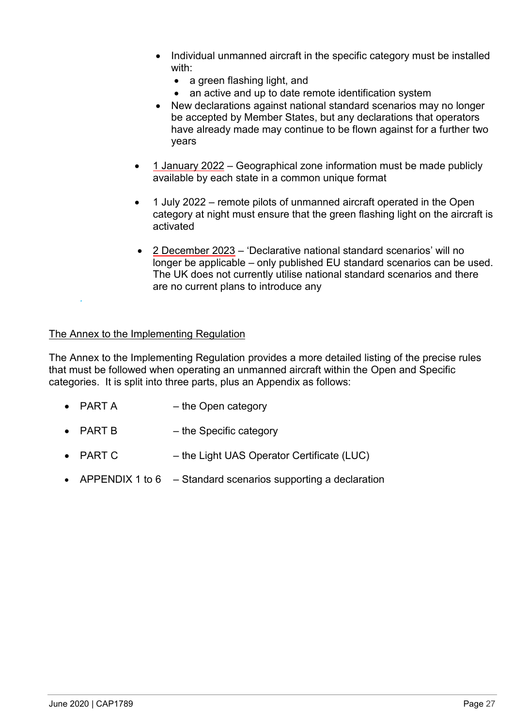- Individual unmanned aircraft in the specific category must be installed with:
	- a green flashing light, and
	- an active and up to date remote identification system
- New declarations against national standard scenarios may no longer be accepted by Member States, but any declarations that operators have already made may continue to be flown against for a further two years
- 1 January 2022 Geographical zone information must be made publicly available by each state in a common unique format
- 1 July 2022 remote pilots of unmanned aircraft operated in the Open category at night must ensure that the green flashing light on the aircraft is activated
- 2 December 2023 'Declarative national standard scenarios' will no longer be applicable – only published EU standard scenarios can be used. The UK does not currently utilise national standard scenarios and there are no current plans to introduce any

#### The Annex to the Implementing Regulation

*.*

The Annex to the Implementing Regulation provides a more detailed listing of the precise rules that must be followed when operating an unmanned aircraft within the Open and Specific categories. It is split into three parts, plus an Appendix as follows:

- PART A the Open category
- PART B the Specific category
- PART C the Light UAS Operator Certificate (LUC)
- APPENDIX 1 to 6  $-$  Standard scenarios supporting a declaration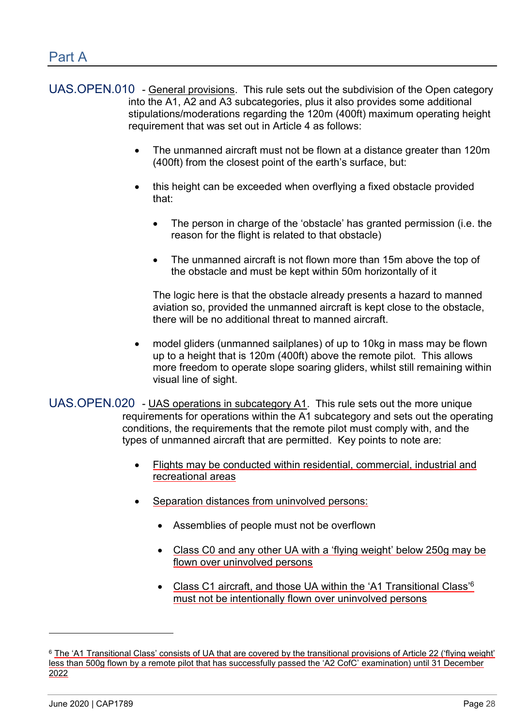- UAS.OPEN.010 General provisions. This rule sets out the subdivision of the Open category into the A1, A2 and A3 subcategories, plus it also provides some additional stipulations/moderations regarding the 120m (400ft) maximum operating height requirement that was set out in Article 4 as follows:
	- The unmanned aircraft must not be flown at a distance greater than 120m (400ft) from the closest point of the earth's surface, but:
	- this height can be exceeded when overflying a fixed obstacle provided that:
		- The person in charge of the 'obstacle' has granted permission (i.e. the reason for the flight is related to that obstacle)
		- The unmanned aircraft is not flown more than 15m above the top of the obstacle and must be kept within 50m horizontally of it

The logic here is that the obstacle already presents a hazard to manned aviation so, provided the unmanned aircraft is kept close to the obstacle, there will be no additional threat to manned aircraft.

• model gliders (unmanned sailplanes) of up to 10kg in mass may be flown up to a height that is 120m (400ft) above the remote pilot. This allows more freedom to operate slope soaring gliders, whilst still remaining within visual line of sight.

UAS.OPEN.020 - UAS operations in subcategory A1. This rule sets out the more unique requirements for operations within the A1 subcategory and sets out the operating conditions, the requirements that the remote pilot must comply with, and the types of unmanned aircraft that are permitted. Key points to note are:

- Flights may be conducted within residential, commercial, industrial and recreational areas
- Separation distances from uninvolved persons:
	- Assemblies of people must not be overflown
	- Class C0 and any other UA with a 'flying weight' below 250g may be flown over uninvolved persons
	- Class C1 aircraft, and those UA within the 'A1 Transitional Class'<sup>6</sup> must not be intentionally flown over uninvolved persons

-

<sup>&</sup>lt;sup>6</sup> The 'A1 Transitional Class' consists of UA that are covered by the transitional provisions of Article 22 ('flying weight' less than 500g flown by a remote pilot that has successfully passed the 'A2 CofC' examination) until 31 December 2022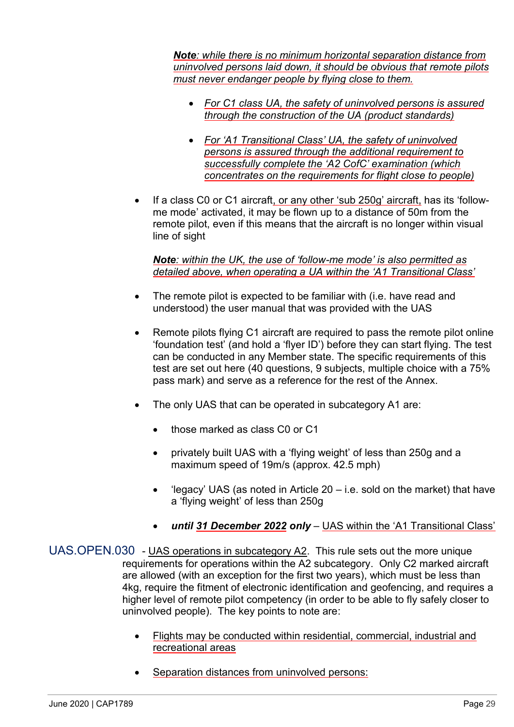*Note: while there is no minimum horizontal separation distance from uninvolved persons laid down, it should be obvious that remote pilots must never endanger people by flying close to them.* 

- *For C1 class UA, the safety of uninvolved persons is assured through the construction of the UA (product standards)*
- *For 'A1 Transitional Class' UA, the safety of uninvolved persons is assured through the additional requirement to successfully complete the 'A2 CofC' examination (which concentrates on the requirements for flight close to people)*
- If a class C0 or C1 aircraft, or any other 'sub 250g' aircraft, has its 'followme mode' activated, it may be flown up to a distance of 50m from the remote pilot, even if this means that the aircraft is no longer within visual line of sight

*Note: within the UK, the use of 'follow-me mode' is also permitted as detailed above, when operating a UA within the 'A1 Transitional Class'*

- The remote pilot is expected to be familiar with (i.e. have read and understood) the user manual that was provided with the UAS
- Remote pilots flying C1 aircraft are required to pass the remote pilot online 'foundation test' (and hold a 'flyer ID') before they can start flying. The test can be conducted in any Member state. The specific requirements of this test are set out here (40 questions, 9 subjects, multiple choice with a 75% pass mark) and serve as a reference for the rest of the Annex.
- The only UAS that can be operated in subcategory A1 are:
	- those marked as class C0 or C1
	- privately built UAS with a 'flying weight' of less than 250g and a maximum speed of 19m/s (approx. 42.5 mph)
	- 'legacy' UAS (as noted in Article  $20 i.e.$  sold on the market) that have a 'flying weight' of less than 250g
	- *until 31 December 2022 only* UAS within the 'A1 Transitional Class'
- UAS.OPEN.030 UAS operations in subcategory A2. This rule sets out the more unique requirements for operations within the A2 subcategory. Only C2 marked aircraft are allowed (with an exception for the first two years), which must be less than 4kg, require the fitment of electronic identification and geofencing, and requires a higher level of remote pilot competency (in order to be able to fly safely closer to uninvolved people). The key points to note are:
	- Flights may be conducted within residential, commercial, industrial and recreational areas
	- Separation distances from uninvolved persons: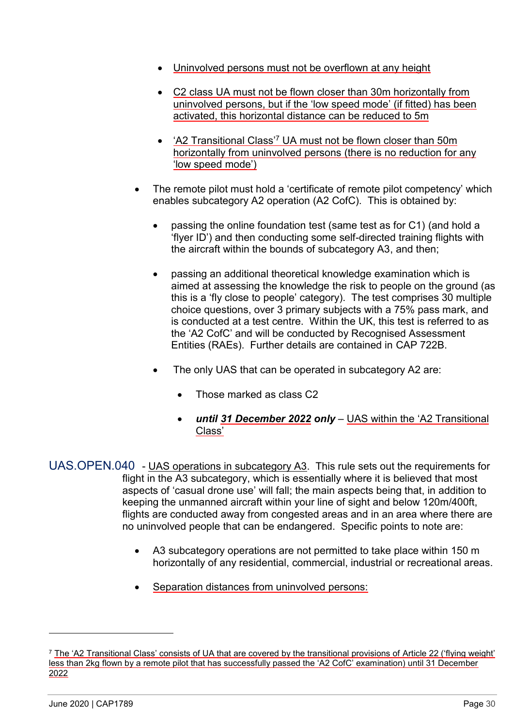- Uninvolved persons must not be overflown at any height
- C2 class UA must not be flown closer than 30m horizontally from uninvolved persons, but if the 'low speed mode' (if fitted) has been activated, this horizontal distance can be reduced to 5m
- 'A2 Transitional Class'<sup>7</sup> UA must not be flown closer than 50m horizontally from uninvolved persons (there is no reduction for any 'low speed mode')
- The remote pilot must hold a 'certificate of remote pilot competency' which enables subcategory A2 operation (A2 CofC). This is obtained by:
	- passing the online foundation test (same test as for C1) (and hold a 'flyer ID') and then conducting some self-directed training flights with the aircraft within the bounds of subcategory A3, and then;
	- passing an additional theoretical knowledge examination which is aimed at assessing the knowledge the risk to people on the ground (as this is a 'fly close to people' category). The test comprises 30 multiple choice questions, over 3 primary subjects with a 75% pass mark, and is conducted at a test centre. Within the UK, this test is referred to as the 'A2 CofC' and will be conducted by Recognised Assessment Entities (RAEs). Further details are contained in [CAP 722B.](https://publicapps.caa.co.uk/modalapplication.aspx?appid=11&mode=detail&id=9168)
	- The only UAS that can be operated in subcategory A2 are:
		- Those marked as class C2
		- *until 31 December 2022 only* UAS within the 'A2 Transitional Class'

UAS.OPEN.040 - UAS operations in subcategory A3. This rule sets out the requirements for flight in the A3 subcategory, which is essentially where it is believed that most aspects of 'casual drone use' will fall; the main aspects being that, in addition to keeping the unmanned aircraft within your line of sight and below 120m/400ft, flights are conducted away from congested areas and in an area where there are no uninvolved people that can be endangered. Specific points to note are:

- A3 subcategory operations are not permitted to take place within 150 m horizontally of any residential, commercial, industrial or recreational areas.
- Separation distances from uninvolved persons:

-

<sup>7</sup> The 'A2 Transitional Class' consists of UA that are covered by the transitional provisions of Article 22 ('flying weight' less than 2kg flown by a remote pilot that has successfully passed the 'A2 CofC' examination) until 31 December 2022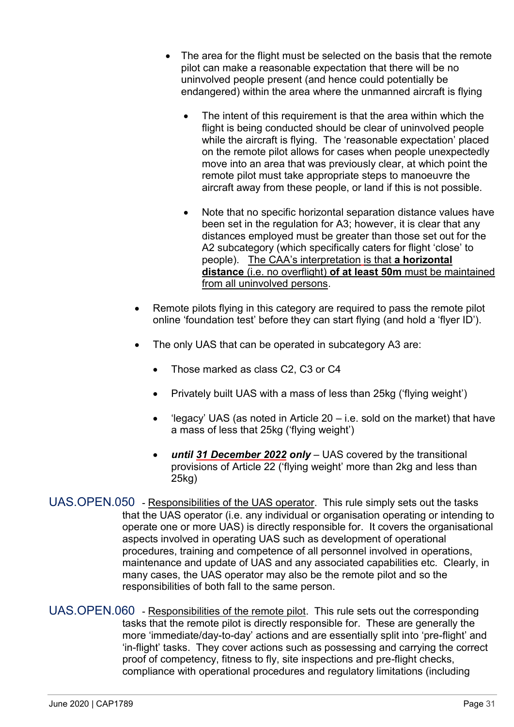- The area for the flight must be selected on the basis that the remote pilot can make a reasonable expectation that there will be no uninvolved people present (and hence could potentially be endangered) within the area where the unmanned aircraft is flying
	- The intent of this requirement is that the area within which the flight is being conducted should be clear of uninvolved people while the aircraft is flying. The 'reasonable expectation' placed on the remote pilot allows for cases when people unexpectedly move into an area that was previously clear, at which point the remote pilot must take appropriate steps to manoeuvre the aircraft away from these people, or land if this is not possible.
	- Note that no specific horizontal separation distance values have been set in the regulation for A3; however, it is clear that any distances employed must be greater than those set out for the A2 subcategory (which specifically caters for flight 'close' to people). The CAA's interpretation is that **a horizontal distance** (i.e. no overflight) **of at least 50m** must be maintained from all uninvolved persons.
- Remote pilots flying in this category are required to pass the remote pilot online 'foundation test' before they can start flying (and hold a 'flyer ID').
- The only UAS that can be operated in subcategory A3 are:
	- Those marked as class C2, C3 or C4
	- Privately built UAS with a mass of less than 25kg ('flying weight')
	- 'legacy' UAS (as noted in Article  $20 i.e.$  sold on the market) that have a mass of less that 25kg ('flying weight')
	- *until 31 December 2022 only* UAS covered by the transitional provisions of Article 22 ('flying weight' more than 2kg and less than 25kg)
- UAS.OPEN.050 Responsibilities of the UAS operator. This rule simply sets out the tasks that the UAS operator (i.e. any individual or organisation operating or intending to operate one or more UAS) is directly responsible for. It covers the organisational aspects involved in operating UAS such as development of operational procedures, training and competence of all personnel involved in operations, maintenance and update of UAS and any associated capabilities etc. Clearly, in many cases, the UAS operator may also be the remote pilot and so the responsibilities of both fall to the same person.
- UAS.OPEN.060 Responsibilities of the remote pilot. This rule sets out the corresponding tasks that the remote pilot is directly responsible for. These are generally the more 'immediate/day-to-day' actions and are essentially split into 'pre-flight' and 'in-flight' tasks. They cover actions such as possessing and carrying the correct proof of competency, fitness to fly, site inspections and pre-flight checks, compliance with operational procedures and regulatory limitations (including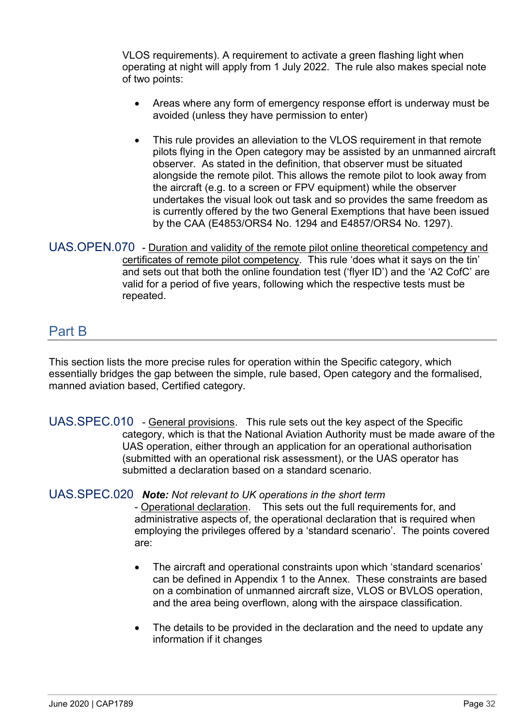VLOS requirements). A requirement to activate a green flashing light when operating at night will apply from 1 July 2022. The rule also makes special note of two points:

- Areas where any form of emergency response effort is underway must be avoided (unless they have permission to enter)
- This rule provides an alleviation to the VLOS requirement in that remote pilots flying in the Open category may be assisted by an unmanned aircraft observer. As stated in the definition, that observer must be situated alongside the remote pilot. This allows the remote pilot to look away from the aircraft (e.g. to a screen or FPV equipment) while the observer undertakes the visual look out task and so provides the same freedom as is currently offered by the two General Exemptions that have been issued by the CAA (E4853/ORS4 No. 1294 and E4857/ORS4 No. 1297).

## UAS.OPEN.070 - Duration and validity of the remote pilot online theoretical competency and certificates of remote pilot competency. This rule 'does what it says on the tin' and sets out that both the online foundation test ('flyer ID') and the 'A2 CofC' are valid for a period of five years, following which the respective tests must be repeated.

# Part B

This section lists the more precise rules for operation within the Specific category, which essentially bridges the gap between the simple, rule based, Open category and the formalised, manned aviation based, Certified category.

UAS.SPEC.010 - General provisions. This rule sets out the key aspect of the Specific category, which is that the National Aviation Authority must be made aware of the UAS operation, either through an application for an operational authorisation (submitted with an operational risk assessment), or the UAS operator has submitted a declaration based on a standard scenario.

## UAS.SPEC.020 *Note: Not relevant to UK operations in the short term*

- Operational declaration. This sets out the full requirements for, and administrative aspects of, the operational declaration that is required when employing the privileges offered by a 'standard scenario'. The points covered are:

- The aircraft and operational constraints upon which 'standard scenarios' can be defined in Appendix 1 to the Annex. These constraints are based on a combination of unmanned aircraft size, VLOS or BVLOS operation, and the area being overflown, along with the airspace classification.
- The details to be provided in the declaration and the need to update any information if it changes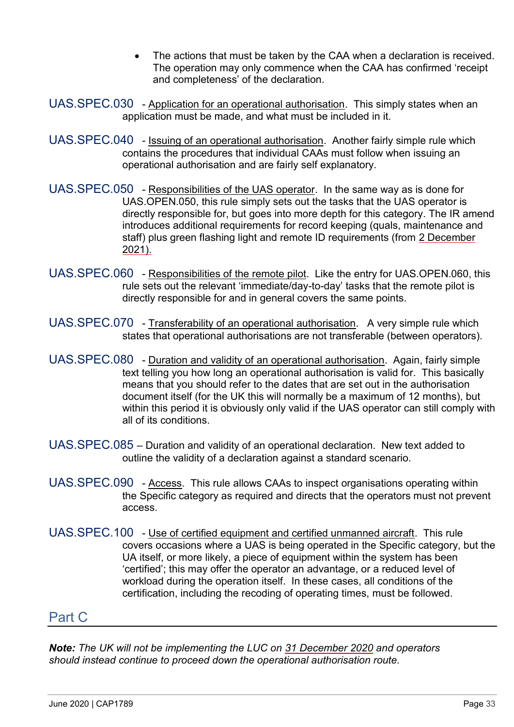- The actions that must be taken by the CAA when a declaration is received. The operation may only commence when the CAA has confirmed 'receipt and completeness' of the declaration.
- UAS.SPEC.030 Application for an operational authorisation. This simply states when an application must be made, and what must be included in it.
- UAS.SPEC.040 Issuing of an operational authorisation. Another fairly simple rule which contains the procedures that individual CAAs must follow when issuing an operational authorisation and are fairly self explanatory.
- UAS.SPEC.050 Responsibilities of the UAS operator. In the same way as is done for UAS.OPEN.050, this rule simply sets out the tasks that the UAS operator is directly responsible for, but goes into more depth for this category. The IR amend introduces additional requirements for record keeping (quals, maintenance and staff) plus green flashing light and remote ID requirements (from 2 December 2021).
- UAS.SPEC.060 Responsibilities of the remote pilot. Like the entry for UAS.OPEN.060, this rule sets out the relevant 'immediate/day-to-day' tasks that the remote pilot is directly responsible for and in general covers the same points.
- UAS.SPEC.070 Transferability of an operational authorisation. A very simple rule which states that operational authorisations are not transferable (between operators).
- UAS.SPEC.080 Duration and validity of an operational authorisation. Again, fairly simple text telling you how long an operational authorisation is valid for. This basically means that you should refer to the dates that are set out in the authorisation document itself (for the UK this will normally be a maximum of 12 months), but within this period it is obviously only valid if the UAS operator can still comply with all of its conditions.
- UAS.SPEC.085 Duration and validity of an operational declaration. New text added to outline the validity of a declaration against a standard scenario.
- UAS.SPEC.090 Access. This rule allows CAAs to inspect organisations operating within the Specific category as required and directs that the operators must not prevent access.
- UAS.SPEC.100 Use of certified equipment and certified unmanned aircraft. This rule covers occasions where a UAS is being operated in the Specific category, but the UA itself, or more likely, a piece of equipment within the system has been 'certified'; this may offer the operator an advantage, or a reduced level of workload during the operation itself. In these cases, all conditions of the certification, including the recoding of operating times, must be followed.

# Part C

*Note: The UK will not be implementing the LUC on 31 December 2020 and operators should instead continue to proceed down the operational authorisation route.*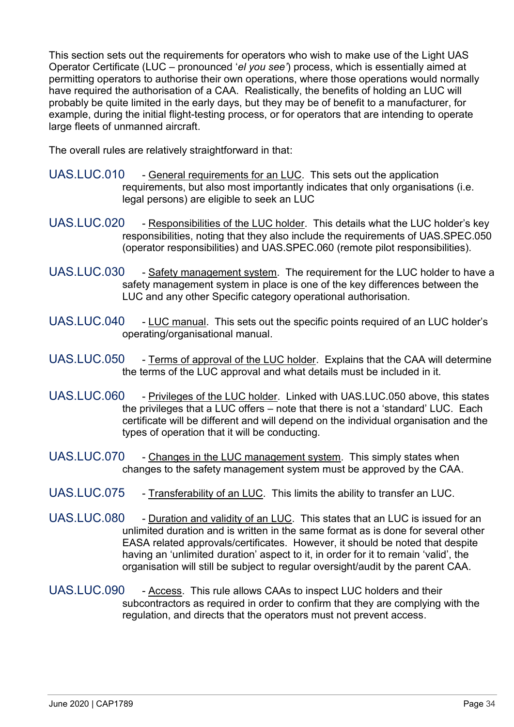This section sets out the requirements for operators who wish to make use of the Light UAS Operator Certificate (LUC – pronounced '*el you see'*) process, which is essentially aimed at permitting operators to authorise their own operations, where those operations would normally have required the authorisation of a CAA. Realistically, the benefits of holding an LUC will probably be quite limited in the early days, but they may be of benefit to a manufacturer, for example, during the initial flight-testing process, or for operators that are intending to operate large fleets of unmanned aircraft.

The overall rules are relatively straightforward in that:

- UAS.LUC.010 General requirements for an LUC. This sets out the application requirements, but also most importantly indicates that only organisations (i.e. legal persons) are eligible to seek an LUC
- UAS.LUC.020 Responsibilities of the LUC holder. This details what the LUC holder's key responsibilities, noting that they also include the requirements of UAS.SPEC.050 (operator responsibilities) and UAS.SPEC.060 (remote pilot responsibilities).
- UAS.LUC.030 Safety management system. The requirement for the LUC holder to have a safety management system in place is one of the key differences between the LUC and any other Specific category operational authorisation.
- UAS.LUC.040 LUC manual. This sets out the specific points required of an LUC holder's operating/organisational manual.
- UAS.LUC.050 Terms of approval of the LUC holder. Explains that the CAA will determine the terms of the LUC approval and what details must be included in it.
- UAS.LUC.060 Privileges of the LUC holder. Linked with UAS.LUC.050 above, this states the privileges that a LUC offers – note that there is not a 'standard' LUC. Each certificate will be different and will depend on the individual organisation and the types of operation that it will be conducting.
- UAS.LUC.070 Changes in the LUC management system. This simply states when changes to the safety management system must be approved by the CAA.
- UAS.LUC.075 Transferability of an LUC. This limits the ability to transfer an LUC.
- UAS.LUC.080 Duration and validity of an LUC. This states that an LUC is issued for an unlimited duration and is written in the same format as is done for several other EASA related approvals/certificates. However, it should be noted that despite having an 'unlimited duration' aspect to it, in order for it to remain 'valid', the organisation will still be subject to regular oversight/audit by the parent CAA.
- UAS.LUC.090 Access. This rule allows CAAs to inspect LUC holders and their subcontractors as required in order to confirm that they are complying with the regulation, and directs that the operators must not prevent access.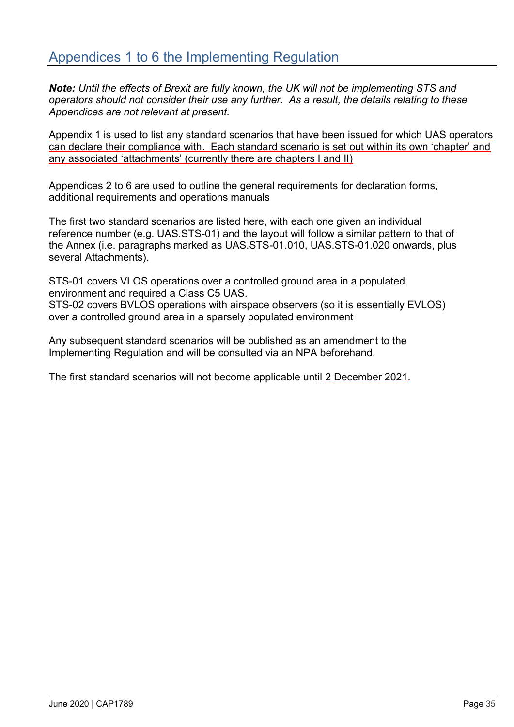*Note: Until the effects of Brexit are fully known, the UK will not be implementing STS and operators should not consider their use any further. As a result, the details relating to these Appendices are not relevant at present.*

Appendix 1 is used to list any standard scenarios that have been issued for which UAS operators can declare their compliance with. Each standard scenario is set out within its own 'chapter' and any associated 'attachments' (currently there are chapters I and II)

Appendices 2 to 6 are used to outline the general requirements for declaration forms, additional requirements and operations manuals

The first two standard scenarios are listed here, with each one given an individual reference number (e.g. UAS.STS-01) and the layout will follow a similar pattern to that of the Annex (i.e. paragraphs marked as UAS.STS-01.010, UAS.STS-01.020 onwards, plus several Attachments).

STS-01 covers VLOS operations over a controlled ground area in a populated environment and required a Class C5 UAS.

STS-02 covers BVLOS operations with airspace observers (so it is essentially EVLOS) over a controlled ground area in a sparsely populated environment

Any subsequent standard scenarios will be published as an amendment to the Implementing Regulation and will be consulted via an NPA beforehand.

The first standard scenarios will not become applicable until 2 December 2021.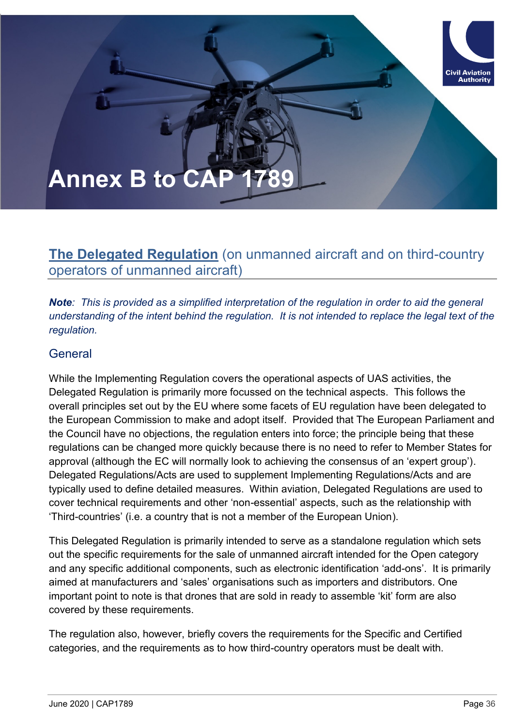# **Annex B to CAP**

# **The Delegated Regulation** (on unmanned aircraft and on third-country operators of unmanned aircraft)

*Note: This is provided as a simplified interpretation of the regulation in order to aid the general understanding of the intent behind the regulation. It is not intended to replace the legal text of the regulation.*

## General

While the Implementing Regulation covers the operational aspects of UAS activities, the Delegated Regulation is primarily more focussed on the technical aspects. This follows the overall principles set out by the EU where some facets of EU regulation have been delegated to the European Commission to make and adopt itself. Provided that The European Parliament and the Council have no objections, the regulation enters into force; the principle being that these regulations can be changed more quickly because there is no need to refer to Member States for approval (although the EC will normally look to achieving the consensus of an 'expert group'). Delegated Regulations/Acts are used to supplement Implementing Regulations/Acts and are typically used to define detailed measures. Within aviation, Delegated Regulations are used to cover technical requirements and other 'non-essential' aspects, such as the relationship with 'Third-countries' (i.e. a country that is not a member of the European Union).

This Delegated Regulation is primarily intended to serve as a standalone regulation which sets out the specific requirements for the sale of unmanned aircraft intended for the Open category and any specific additional components, such as electronic identification 'add-ons'. It is primarily aimed at manufacturers and 'sales' organisations such as importers and distributors. One important point to note is that drones that are sold in ready to assemble 'kit' form are also covered by these requirements.

The regulation also, however, briefly covers the requirements for the Specific and Certified categories, and the requirements as to how third-country operators must be dealt with.

**Civil Aviation** . . . . . . . . . . .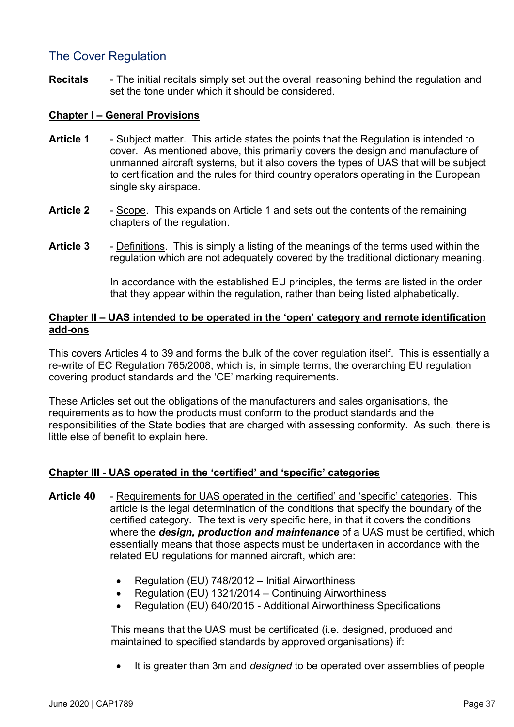## The Cover Regulation

**Recitals** - The initial recitals simply set out the overall reasoning behind the regulation and set the tone under which it should be considered.

## **Chapter I – General Provisions**

- **Article 1** Subject matter. This article states the points that the Regulation is intended to cover. As mentioned above, this primarily covers the design and manufacture of unmanned aircraft systems, but it also covers the types of UAS that will be subject to certification and the rules for third country operators operating in the European single sky airspace.
- **Article 2** Scope. This expands on Article 1 and sets out the contents of the remaining chapters of the regulation.
- **Article 3** Definitions. This is simply a listing of the meanings of the terms used within the regulation which are not adequately covered by the traditional dictionary meaning.

In accordance with the established EU principles, the terms are listed in the order that they appear within the regulation, rather than being listed alphabetically.

## **Chapter II – UAS intended to be operated in the 'open' category and remote identification add-ons**

This covers Articles 4 to 39 and forms the bulk of the cover regulation itself. This is essentially a re-write of EC Regulation 765/2008, which is, in simple terms, the overarching EU regulation covering product standards and the 'CE' marking requirements.

These Articles set out the obligations of the manufacturers and sales organisations, the requirements as to how the products must conform to the product standards and the responsibilities of the State bodies that are charged with assessing conformity. As such, there is little else of benefit to explain here.

## **Chapter III - UAS operated in the 'certified' and 'specific' categories**

- **Article 40** Requirements for UAS operated in the 'certified' and 'specific' categories. This article is the legal determination of the conditions that specify the boundary of the certified category. The text is very specific here, in that it covers the conditions where the *design, production and maintenance* of a UAS must be certified, which essentially means that those aspects must be undertaken in accordance with the related EU regulations for manned aircraft, which are:
	- Regulation (EU) 748/2012 Initial Airworthiness
	- Regulation (EU) 1321/2014 Continuing Airworthiness
	- Regulation (EU) 640/2015 Additional Airworthiness Specifications

This means that the UAS must be certificated (i.e. designed, produced and maintained to specified standards by approved organisations) if:

• It is greater than 3m and *designed* to be operated over assemblies of people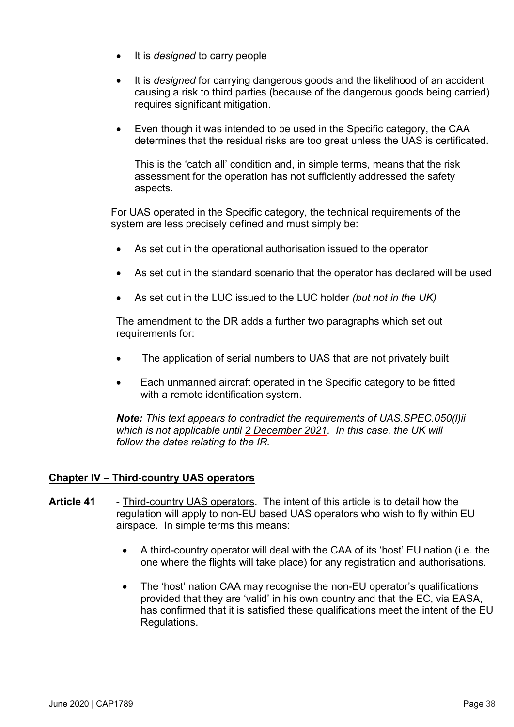- It is *designed* to carry people
- It is *designed* for carrying dangerous goods and the likelihood of an accident causing a risk to third parties (because of the dangerous goods being carried) requires significant mitigation.
- Even though it was intended to be used in the Specific category, the CAA determines that the residual risks are too great unless the UAS is certificated.

This is the 'catch all' condition and, in simple terms, means that the risk assessment for the operation has not sufficiently addressed the safety aspects.

For UAS operated in the Specific category, the technical requirements of the system are less precisely defined and must simply be:

- As set out in the operational authorisation issued to the operator
- As set out in the standard scenario that the operator has declared will be used
- As set out in the LUC issued to the LUC holder *(but not in the UK)*

The amendment to the DR adds a further two paragraphs which set out requirements for:

- The application of serial numbers to UAS that are not privately built
- Each unmanned aircraft operated in the Specific category to be fitted with a remote identification system.

*Note: This text appears to contradict the requirements of UAS.SPEC.050(l)ii which is not applicable until 2 December 2021. In this case, the UK will follow the dates relating to the IR.* 

## **Chapter IV – Third-country UAS operators**

- **Article 41** Third-country UAS operators. The intent of this article is to detail how the regulation will apply to non-EU based UAS operators who wish to fly within EU airspace. In simple terms this means:
	- A third-country operator will deal with the CAA of its 'host' EU nation (i.e. the one where the flights will take place) for any registration and authorisations.
	- The 'host' nation CAA may recognise the non-EU operator's qualifications provided that they are 'valid' in his own country and that the EC, via EASA, has confirmed that it is satisfied these qualifications meet the intent of the EU Regulations.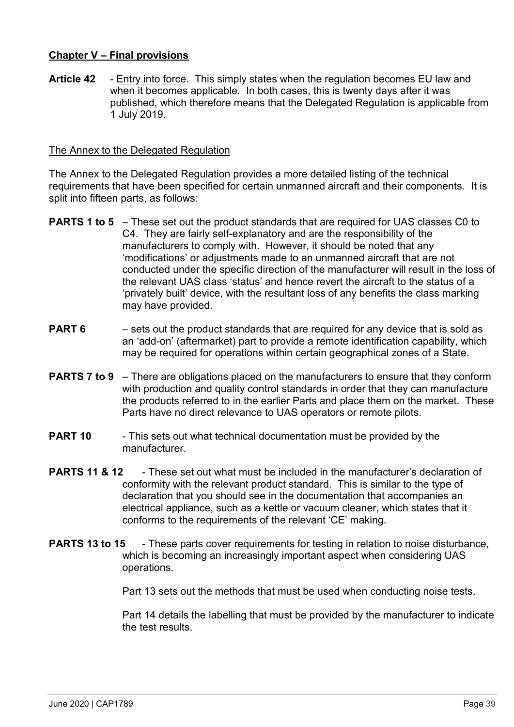## **Chapter V – Final provisions**

**Article 42** - Entry into force. This simply states when the regulation becomes EU law and when it becomes applicable. In both cases, this is twenty days after it was published, which therefore means that the Delegated Regulation is applicable from 1 July 2019.

## The Annex to the Delegated Regulation

The Annex to the Delegated Regulation provides a more detailed listing of the technical requirements that have been specified for certain unmanned aircraft and their components. It is split into fifteen parts, as follows:

- **PARTS 1 to 5** These set out the product standards that are required for UAS classes C0 to C4. They are fairly self-explanatory and are the responsibility of the manufacturers to comply with. However, it should be noted that any 'modifications' or adjustments made to an unmanned aircraft that are not conducted under the specific direction of the manufacturer will result in the loss of the relevant UAS class 'status' and hence revert the aircraft to the status of a 'privately built' device, with the resultant loss of any benefits the class marking may have provided.
- **PART 6** sets out the product standards that are required for any device that is sold as an 'add-on' (aftermarket) part to provide a remote identification capability, which may be required for operations within certain geographical zones of a State.
- **PARTS 7 to 9** There are obligations placed on the manufacturers to ensure that they conform with production and quality control standards in order that they can manufacture the products referred to in the earlier Parts and place them on the market. These Parts have no direct relevance to UAS operators or remote pilots.
- **PART 10** This sets out what technical documentation must be provided by the manufacturer.
- **PARTS 11 & 12** These set out what must be included in the manufacturer's declaration of conformity with the relevant product standard. This is similar to the type of declaration that you should see in the documentation that accompanies an electrical appliance, such as a kettle or vacuum cleaner, which states that it conforms to the requirements of the relevant 'CE' making.
- **PARTS 13 to 15** These parts cover requirements for testing in relation to noise disturbance, which is becoming an increasingly important aspect when considering UAS operations.

Part 13 sets out the methods that must be used when conducting noise tests.

Part 14 details the labelling that must be provided by the manufacturer to indicate the test results.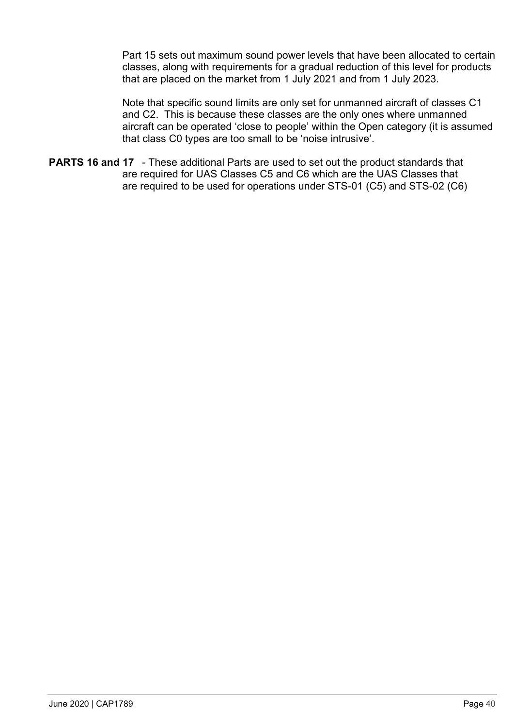Part 15 sets out maximum sound power levels that have been allocated to certain classes, along with requirements for a gradual reduction of this level for products that are placed on the market from 1 July 2021 and from 1 July 2023.

Note that specific sound limits are only set for unmanned aircraft of classes C1 and C2. This is because these classes are the only ones where unmanned aircraft can be operated 'close to people' within the Open category (it is assumed that class C0 types are too small to be 'noise intrusive'.

**PARTS 16 and 17** - These additional Parts are used to set out the product standards that are required for UAS Classes C5 and C6 which are the UAS Classes that are required to be used for operations under STS-01 (C5) and STS-02 (C6)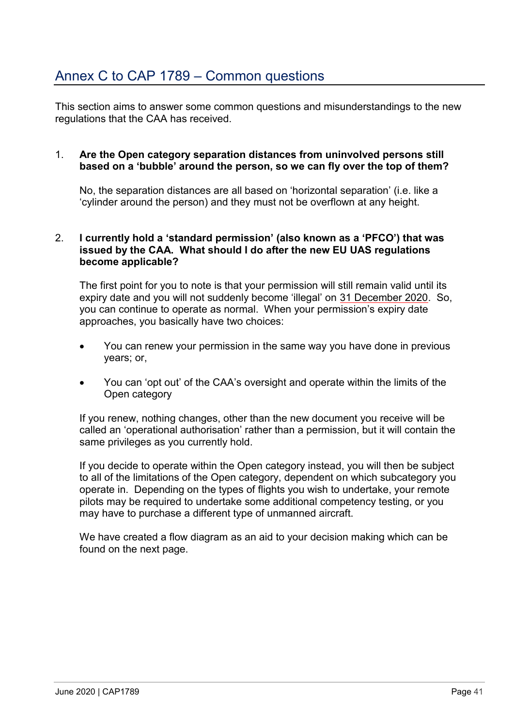# Annex C to CAP 1789 – Common questions

This section aims to answer some common questions and misunderstandings to the new regulations that the CAA has received.

#### 1. **Are the Open category separation distances from uninvolved persons still based on a 'bubble' around the person, so we can fly over the top of them?**

No, the separation distances are all based on 'horizontal separation' (i.e. like a 'cylinder around the person) and they must not be overflown at any height.

### 2. **I currently hold a 'standard permission' (also known as a 'PFCO') that was issued by the CAA. What should I do after the new EU UAS regulations become applicable?**

The first point for you to note is that your permission will still remain valid until its expiry date and you will not suddenly become 'illegal' on 31 December 2020. So, you can continue to operate as normal. When your permission's expiry date approaches, you basically have two choices:

- You can renew your permission in the same way you have done in previous years; or,
- You can 'opt out' of the CAA's oversight and operate within the limits of the Open category

If you renew, nothing changes, other than the new document you receive will be called an 'operational authorisation' rather than a permission, but it will contain the same privileges as you currently hold.

If you decide to operate within the Open category instead, you will then be subject to all of the limitations of the Open category, dependent on which subcategory you operate in. Depending on the types of flights you wish to undertake, your remote pilots may be required to undertake some additional competency testing, or you may have to purchase a different type of unmanned aircraft.

We have created a flow diagram as an aid to your decision making which can be found on the next page.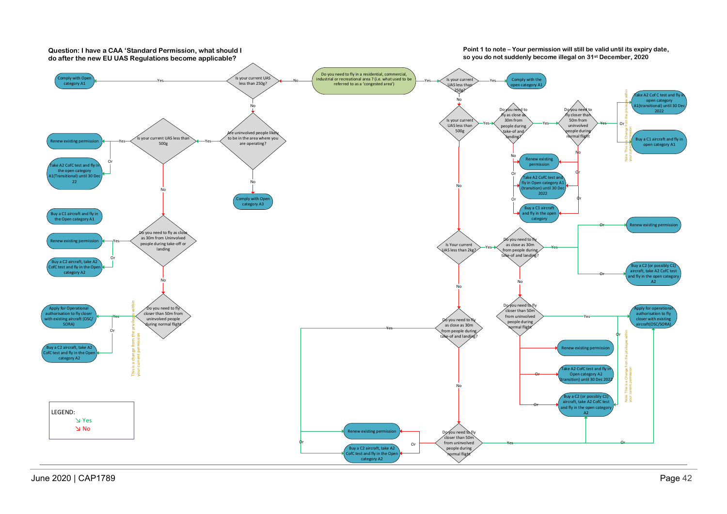

June 2020 | CAP1789 Page 42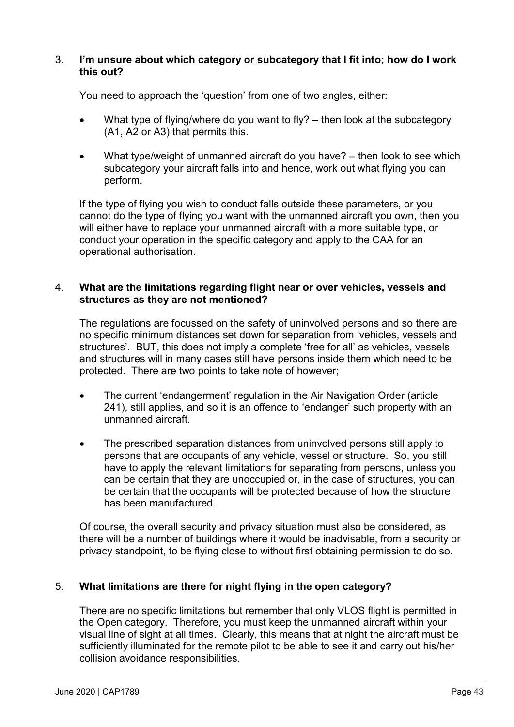#### 3. **I'm unsure about which category or subcategory that I fit into; how do I work this out?**

You need to approach the 'question' from one of two angles, either:

- What type of flying/where do you want to fly?  $-$  then look at the subcategory (A1, A2 or A3) that permits this.
- What type/weight of unmanned aircraft do you have? then look to see which subcategory your aircraft falls into and hence, work out what flying you can perform.

If the type of flying you wish to conduct falls outside these parameters, or you cannot do the type of flying you want with the unmanned aircraft you own, then you will either have to replace your unmanned aircraft with a more suitable type, or conduct your operation in the specific category and apply to the CAA for an operational authorisation.

## 4. **What are the limitations regarding flight near or over vehicles, vessels and structures as they are not mentioned?**

The regulations are focussed on the safety of uninvolved persons and so there are no specific minimum distances set down for separation from 'vehicles, vessels and structures'. BUT, this does not imply a complete 'free for all' as vehicles, vessels and structures will in many cases still have persons inside them which need to be protected. There are two points to take note of however;

- The current 'endangerment' regulation in the Air Navigation Order (article 241), still applies, and so it is an offence to 'endanger' such property with an unmanned aircraft.
- The prescribed separation distances from uninvolved persons still apply to persons that are occupants of any vehicle, vessel or structure. So, you still have to apply the relevant limitations for separating from persons, unless you can be certain that they are unoccupied or, in the case of structures, you can be certain that the occupants will be protected because of how the structure has been manufactured.

Of course, the overall security and privacy situation must also be considered, as there will be a number of buildings where it would be inadvisable, from a security or privacy standpoint, to be flying close to without first obtaining permission to do so.

## 5. **What limitations are there for night flying in the open category?**

There are no specific limitations but remember that only VLOS flight is permitted in the Open category. Therefore, you must keep the unmanned aircraft within your visual line of sight at all times. Clearly, this means that at night the aircraft must be sufficiently illuminated for the remote pilot to be able to see it and carry out his/her collision avoidance responsibilities.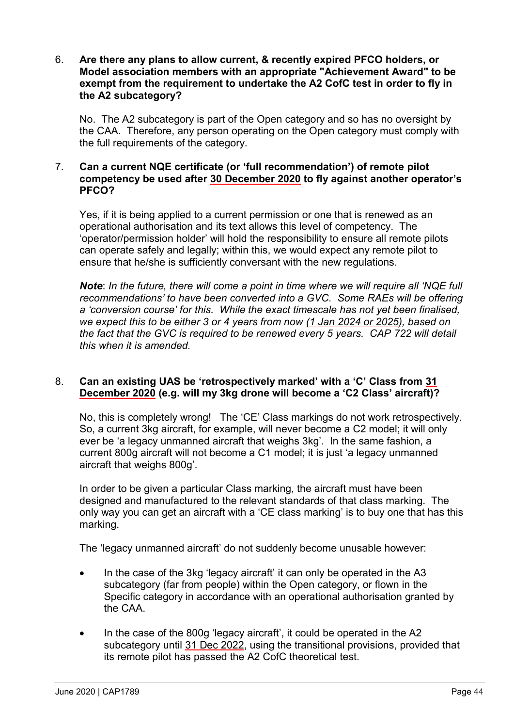#### 6. **Are there any plans to allow current, & recently expired PFCO holders, or Model association members with an appropriate "Achievement Award" to be exempt from the requirement to undertake the A2 CofC test in order to fly in the A2 subcategory?**

No. The A2 subcategory is part of the Open category and so has no oversight by the CAA. Therefore, any person operating on the Open category must comply with the full requirements of the category.

### 7. **Can a current NQE certificate (or 'full recommendation') of remote pilot competency be used after 30 December 2020 to fly against another operator's PFCO?**

Yes, if it is being applied to a current permission or one that is renewed as an operational authorisation and its text allows this level of competency. The 'operator/permission holder' will hold the responsibility to ensure all remote pilots can operate safely and legally; within this, we would expect any remote pilot to ensure that he/she is sufficiently conversant with the new regulations.

*Note*: *In the future, there will come a point in time where we will require all 'NQE full recommendations' to have been converted into a GVC. Some RAEs will be offering a 'conversion course' for this. While the exact timescale has not yet been finalised, we expect this to be either 3 or 4 years from now (1 Jan 2024 or 2025), based on the fact that the GVC is required to be renewed every 5 years. CAP 722 will detail this when it is amended.*

## 8. **Can an existing UAS be 'retrospectively marked' with a 'C' Class from 31 December 2020 (e.g. will my 3kg drone will become a 'C2 Class' aircraft)?**

No, this is completely wrong! The 'CE' Class markings do not work retrospectively. So, a current 3kg aircraft, for example, will never become a C2 model; it will only ever be 'a legacy unmanned aircraft that weighs 3kg'. In the same fashion, a current 800g aircraft will not become a C1 model; it is just 'a legacy unmanned aircraft that weighs 800g'.

In order to be given a particular Class marking, the aircraft must have been designed and manufactured to the relevant standards of that class marking. The only way you can get an aircraft with a 'CE class marking' is to buy one that has this marking.

The 'legacy unmanned aircraft' do not suddenly become unusable however:

- In the case of the 3kg 'legacy aircraft' it can only be operated in the A3 subcategory (far from people) within the Open category, or flown in the Specific category in accordance with an operational authorisation granted by the CAA.
- In the case of the 800g 'legacy aircraft', it could be operated in the A2 subcategory until 31 Dec 2022, using the transitional provisions, provided that its remote pilot has passed the A2 CofC theoretical test.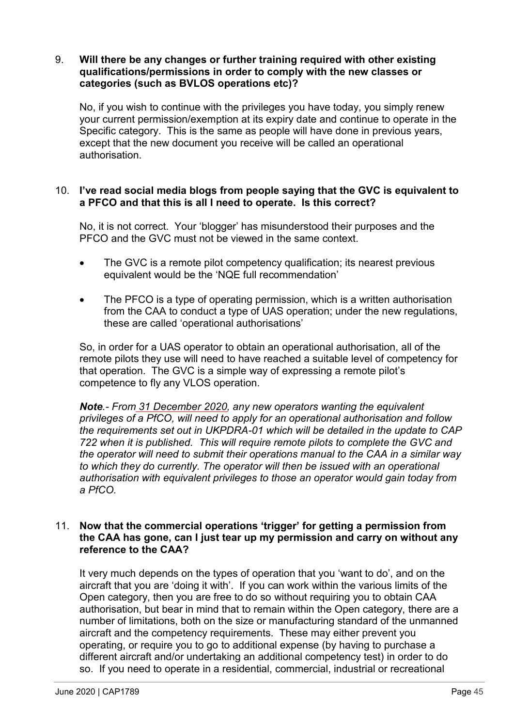#### 9. **Will there be any changes or further training required with other existing qualifications/permissions in order to comply with the new classes or categories (such as BVLOS operations etc)?**

No, if you wish to continue with the privileges you have today, you simply renew your current permission/exemption at its expiry date and continue to operate in the Specific category. This is the same as people will have done in previous years, except that the new document you receive will be called an operational authorisation.

## 10. **I've read social media blogs from people saying that the GVC is equivalent to a PFCO and that this is all I need to operate. Is this correct?**

No, it is not correct. Your 'blogger' has misunderstood their purposes and the PFCO and the GVC must not be viewed in the same context.

- The GVC is a remote pilot competency qualification; its nearest previous equivalent would be the 'NQE full recommendation'
- The PFCO is a type of operating permission, which is a written authorisation from the CAA to conduct a type of UAS operation; under the new regulations, these are called 'operational authorisations'

So, in order for a UAS operator to obtain an operational authorisation, all of the remote pilots they use will need to have reached a suitable level of competency for that operation. The GVC is a simple way of expressing a remote pilot's competence to fly any VLOS operation.

*Note.- From 31 December 2020, any new operators wanting the equivalent privileges of a PfCO, will need to apply for an operational authorisation and follow the requirements set out in UKPDRA-01 which will be detailed in the update to CAP 722 when it is published. This will require remote pilots to complete the GVC and the operator will need to submit their operations manual to the CAA in a similar way to which they do currently. The operator will then be issued with an operational authorisation with equivalent privileges to those an operator would gain today from a PfCO.*

## 11. **Now that the commercial operations 'trigger' for getting a permission from the CAA has gone, can I just tear up my permission and carry on without any reference to the CAA?**

It very much depends on the types of operation that you 'want to do', and on the aircraft that you are 'doing it with'. If you can work within the various limits of the Open category, then you are free to do so without requiring you to obtain CAA authorisation, but bear in mind that to remain within the Open category, there are a number of limitations, both on the size or manufacturing standard of the unmanned aircraft and the competency requirements. These may either prevent you operating, or require you to go to additional expense (by having to purchase a different aircraft and/or undertaking an additional competency test) in order to do so. If you need to operate in a residential, commercial, industrial or recreational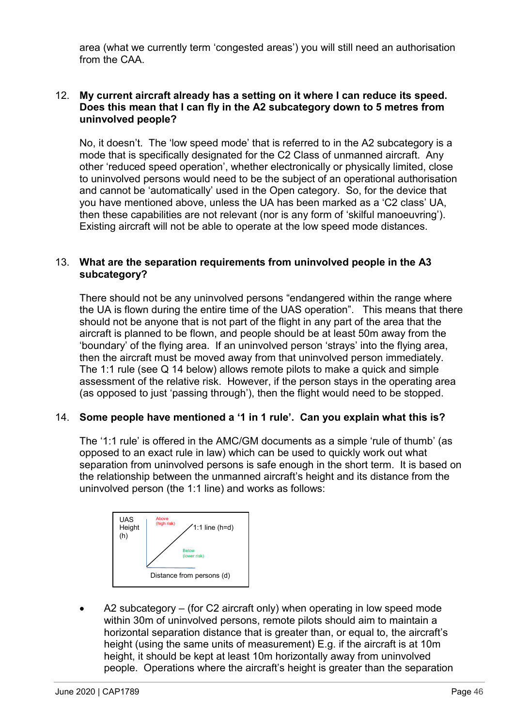area (what we currently term 'congested areas') you will still need an authorisation from the CAA.

## 12. **My current aircraft already has a setting on it where I can reduce its speed. Does this mean that I can fly in the A2 subcategory down to 5 metres from uninvolved people?**

No, it doesn't. The 'low speed mode' that is referred to in the A2 subcategory is a mode that is specifically designated for the C2 Class of unmanned aircraft. Any other 'reduced speed operation', whether electronically or physically limited, close to uninvolved persons would need to be the subject of an operational authorisation and cannot be 'automatically' used in the Open category. So, for the device that you have mentioned above, unless the UA has been marked as a 'C2 class' UA, then these capabilities are not relevant (nor is any form of 'skilful manoeuvring'). Existing aircraft will not be able to operate at the low speed mode distances.

## 13. **What are the separation requirements from uninvolved people in the A3 subcategory?**

There should not be any uninvolved persons "endangered within the range where the UA is flown during the entire time of the UAS operation". This means that there should not be anyone that is not part of the flight in any part of the area that the aircraft is planned to be flown, and people should be at least 50m away from the 'boundary' of the flying area. If an uninvolved person 'strays' into the flying area, then the aircraft must be moved away from that uninvolved person immediately. The 1:1 rule (see Q 14 below) allows remote pilots to make a quick and simple assessment of the relative risk. However, if the person stays in the operating area (as opposed to just 'passing through'), then the flight would need to be stopped.

## 14. **Some people have mentioned a '1 in 1 rule'. Can you explain what this is?**

The '1:1 rule' is offered in the AMC/GM documents as a simple 'rule of thumb' (as opposed to an exact rule in law) which can be used to quickly work out what separation from uninvolved persons is safe enough in the short term. It is based on the relationship between the unmanned aircraft's height and its distance from the uninvolved person (the 1:1 line) and works as follows:



• A2 subcategory – (for C2 aircraft only) when operating in low speed mode within 30m of uninvolved persons, remote pilots should aim to maintain a horizontal separation distance that is greater than, or equal to, the aircraft's height (using the same units of measurement) E.g. if the aircraft is at 10m height, it should be kept at least 10m horizontally away from uninvolved people. Operations where the aircraft's height is greater than the separation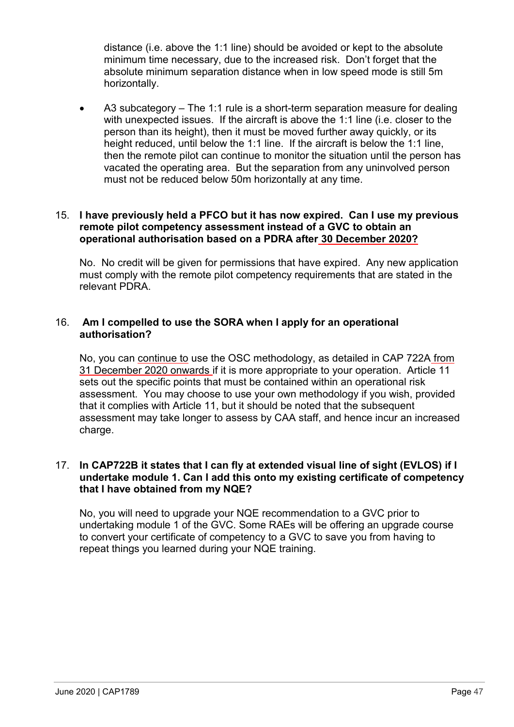distance (i.e. above the 1:1 line) should be avoided or kept to the absolute minimum time necessary, due to the increased risk. Don't forget that the absolute minimum separation distance when in low speed mode is still 5m horizontally.

• A3 subcategory – The 1:1 rule is a short-term separation measure for dealing with unexpected issues. If the aircraft is above the 1:1 line (i.e. closer to the person than its height), then it must be moved further away quickly, or its height reduced, until below the 1:1 line. If the aircraft is below the 1:1 line, then the remote pilot can continue to monitor the situation until the person has vacated the operating area. But the separation from any uninvolved person must not be reduced below 50m horizontally at any time.

## 15. **I have previously held a PFCO but it has now expired. Can I use my previous remote pilot competency assessment instead of a GVC to obtain an operational authorisation based on a PDRA after 30 December 2020?**

No. No credit will be given for permissions that have expired. Any new application must comply with the remote pilot competency requirements that are stated in the relevant PDRA.

## 16. **Am I compelled to use the SORA when I apply for an operational authorisation?**

No, you can continue to use the OSC methodology, as detailed in CAP 722A from 31 December 2020 onwards if it is more appropriate to your operation. Article 11 sets out the specific points that must be contained within an operational risk assessment. You may choose to use your own methodology if you wish, provided that it complies with Article 11, but it should be noted that the subsequent assessment may take longer to assess by CAA staff, and hence incur an increased charge.

## 17. **In CAP722B it states that I can fly at extended visual line of sight (EVLOS) if I undertake module 1. Can I add this onto my existing certificate of competency that I have obtained from my NQE?**

No, you will need to upgrade your NQE recommendation to a GVC prior to undertaking module 1 of the GVC. Some RAEs will be offering an upgrade course to convert your certificate of competency to a GVC to save you from having to repeat things you learned during your NQE training.